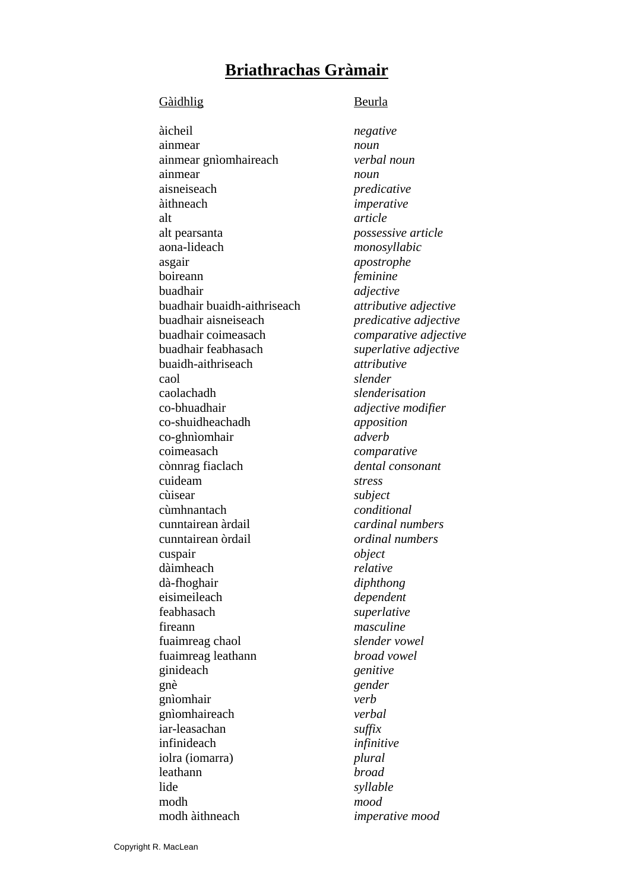## **Briathrachas Gràmair**

#### Gàidhlig Beurla

 àicheil *negative*  ainmear *noun*  ainmear gnìomhaireach *verbal noun* ainmear *noun*  aisneiseach *predicative*  àithneach *imperative*  alt *article*  alt pearsanta *possessive article*  aona-lideach *monosyllabic*  asgair *apostrophe*  boireann *feminine*  buadhair *adjective*  buadhair buaidh-aithriseach *attributive adjective*  buadhair aisneiseach *predicative adjective*  buadhair coimeasach *comparative adjective*  buadhair feabhasach *superlative adjective*  buaidh-aithriseach *attributive*  caol *slender*  caolachadh *slenderisation*  co-bhuadhair *adjective modifier*  co-shuidheachadh *apposition*  co-ghnìomhair *adverb*  coimeasach *comparative*  cònnrag fiaclach *dental consonant*  cuideam *stress*  cùisear *subject*  cùmhnantach *conditional*  cunntairean àrdail *cardinal numbers*  cunntairean òrdail *ordinal numbers*  cuspair *object*  dàimheach *relative* dà-fhoghair *diphthong*  eisimeileach *dependent*  feabhasach *superlative*  fireann *masculine*  fuaimreag chaol *slender vowel*  fuaimreag leathann *broad vowel*  ginideach *genitive*  gnè *gender*  gnìomhair *verb*  gnìomhaireach *verbal*  iar-leasachan *suffix*  infinideach *infinitive*  iolra (iomarra) *plural*  leathann *broad*  lide *syllable*  modh *mood*  modh àithneach *imperative mood*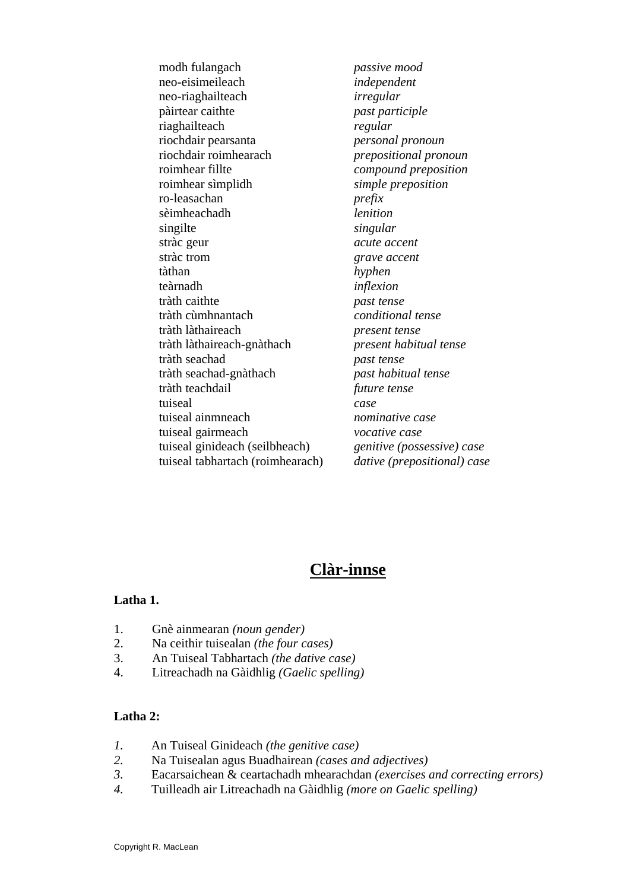modh fulangach *passive mood*  neo-eisimeileach *independent*  neo-riaghailteach *irregular*  pàirtear caithte *past participle*  riaghailteach *regular*  riochdair pearsanta *personal pronoun*  riochdair roimhearach *prepositional pronoun*  roimhear fillte *compound preposition*  roimhear sìmplidh *simple preposition*  ro-leasachan *prefix*  sèimheachadh *lenition*  singilte *singular*  stràc geur *acute accent*  stràc trom *grave accent*  tàthan *hyphen*  teàrnadh *inflexion*  tràth caithte *past tense* tràth cùmhnantach *conditional tense* tràth làthaireach *present tense* tràth làthaireach-gnàthach *present habitual tense*  tràth seachad *past tense* tràth seachad-gnàthach *past habitual tense*  tràth teachdail *future tense*  tuiseal *case*  tuiseal ainmneach *nominative case*  tuiseal gairmeach *vocative case*  tuiseal ginideach (seilbheach) *genitive (possessive) case* tuiseal tabhartach (roimhearach) *dative (prepositional) case* 

# **Clàr-innse**

#### **Latha 1.**

- 1. Gnè ainmearan *(noun gender)*
- 2. Na ceithir tuisealan *(the four cases)*
- 3. An Tuiseal Tabhartach *(the dative case)*
- 4. Litreachadh na Gàidhlig *(Gaelic spelling)*

#### **Latha 2:**

- *1.* An Tuiseal Ginideach *(the genitive case)*
- *2.* Na Tuisealan agus Buadhairean *(cases and adjectives)*
- *3.* Eacarsaichean & ceartachadh mhearachdan *(exercises and correcting errors)*
- *4.* Tuilleadh air Litreachadh na Gàidhlig *(more on Gaelic spelling)*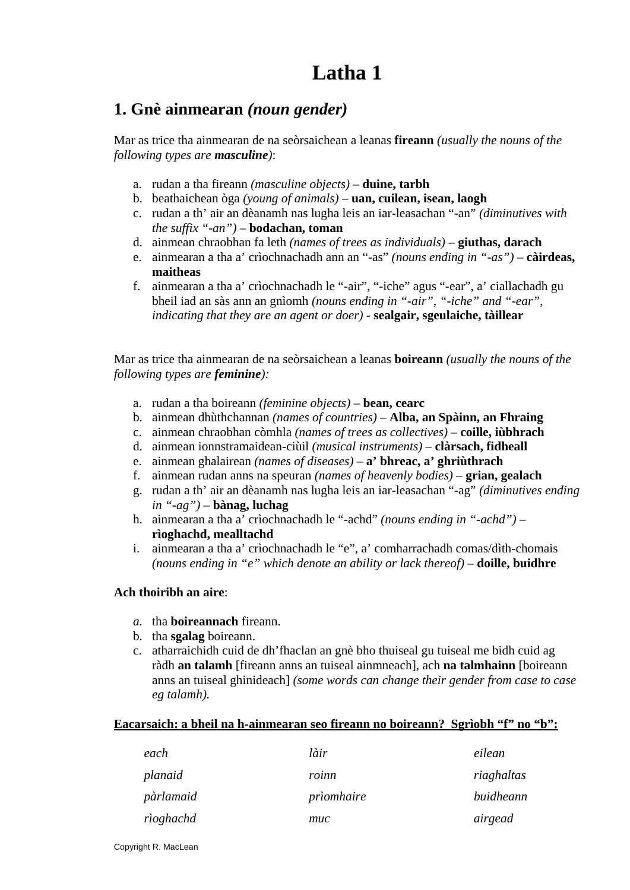## **1. Gnè ainmearan** *(noun gender)*

Mar as trice tha ainmearan de na seòrsaichean a leanas **fireann** *(usually the nouns of the following types are masculine)*:

- a. rudan a tha fireann *(masculine objects)*  **duine, tarbh**
- b. beathaichean òga *(young of animals)* **uan, cuilean, isean, laogh**
- c. rudan a th' air an dèanamh nas lugha leis an iar-leasachan "-an" *(diminutives with the suffix "-an")* – **bodachan, toman**
- d. ainmean chraobhan fa leth *(names of trees as individuals)*  **giuthas, darach**
- e. ainmearan a tha a' crìochnachadh ann an "-as" *(nouns ending in "-as")*  **càirdeas, maitheas**
- f. ainmearan a tha a' crìochnachadh le "-air", "-iche" agus "-ear", a' ciallachadh gu bheil iad an sàs ann an gnìomh *(nouns ending in "-air", "-iche" and "-ear", indicating that they are an agent or doer)* - **sealgair, sgeulaiche, tàillear**

Mar as trice tha ainmearan de na seòrsaichean a leanas **boireann** *(usually the nouns of the following types are feminine):* 

- a. rudan a tha boireann *(feminine objects)*  **bean, cearc**
- b. ainmean dhùthchannan *(names of countries)*  **Alba, an Spàinn, an Fhraing**
- c. ainmean chraobhan còmhla *(names of trees as collectives)*  **coille, iùbhrach**
- d. ainmean ionnstramaidean-ciùil *(musical instruments)*  **clàrsach, fidheall**
- e. ainmean ghalairean *(names of diseases)*  **a' bhreac, a' ghriùthrach**
- f. ainmean rudan anns na speuran *(names of heavenly bodies)*  **grian, gealach**
- g. rudan a th' air an dèanamh nas lugha leis an iar-leasachan "-ag" *(diminutives ending in "-ag")* – **bànag, luchag**
- h. ainmearan a tha a' crìochnachadh le "-achd" *(nouns ending in "-achd")*  **rìoghachd, mealltachd**
- i. ainmearan a tha a' crìochnachadh le "e", a' comharrachadh comas/dìth-chomais *(nouns ending in "e" which denote an ability or lack thereof)* – **doille, buidhre**

#### **Ach thoiribh an aire**:

- *a.* tha **boireannach** fireann.
- b. tha **sgalag** boireann.
- c. atharraichidh cuid de dh'fhaclan an gnè bho thuiseal gu tuiseal me bidh cuid ag ràdh **an talamh** [fireann anns an tuiseal ainmneach], ach **na talmhainn** [boireann anns an tuiseal ghinideach] *(some words can change their gender from case to case eg talamh).*

#### **Eacarsaich: a bheil na h-ainmearan seo fireann no boireann? Sgrìobh "f" no "b":**

| each      | làir       | eilean     |
|-----------|------------|------------|
| planaid   | roinn      | riaghaltas |
| pàrlamaid | prìomhaire | buidheann  |
| rìoghachd | muc        | airgead    |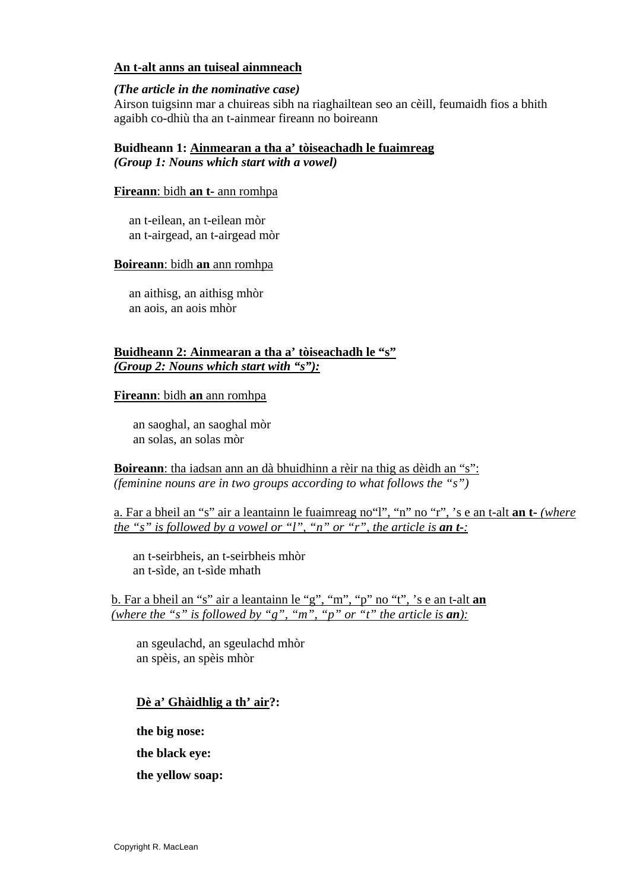#### **An t-alt anns an tuiseal ainmneach**

#### *(The article in the nominative case)*

Airson tuigsinn mar a chuireas sibh na riaghailtean seo an cèill, feumaidh fios a bhith agaibh co-dhiù tha an t-ainmear fireann no boireann

#### **Buidheann 1: Ainmearan a tha a' tòiseachadh le fuaimreag** *(Group 1: Nouns which start with a vowel)*

#### **Fireann**: bidh **an t-** ann romhpa

an t-eilean, an t-eilean mòr an t-airgead, an t-airgead mòr

#### **Boireann**: bidh **an** ann romhpa

an aithisg, an aithisg mhòr an aois, an aois mhòr

#### **Buidheann 2: Ainmearan a tha a' tòiseachadh le "s"**  *(Group 2: Nouns which start with "s"):*

#### **Fireann**: bidh **an** ann romhpa

an saoghal, an saoghal mòr an solas, an solas mòr

**Boireann**: tha iadsan ann an dà bhuidhinn a rèir na thig as dèidh an "s": *(feminine nouns are in two groups according to what follows the "s")* 

a. Far a bheil an "s" air a leantainn le fuaimreag no"l", "n" no "r", 's e an t-alt **an t-** *(where the "s" is followed by a vowel or "l", "n" or "r", the article is an t-:* 

an t-seirbheis, an t-seirbheis mhòr an t-sìde, an t-sìde mhath

b. Far a bheil an "s" air a leantainn le "g", "m", "p" no "t", 's e an t-alt **an** *(where the "s" is followed by "g", "m", "p" or "t" the article is an*):

an sgeulachd, an sgeulachd mhòr an spèis, an spèis mhòr

#### **Dè a' Ghàidhlig a th' air?:**

**the big nose:** 

**the black eye:** 

**the yellow soap:**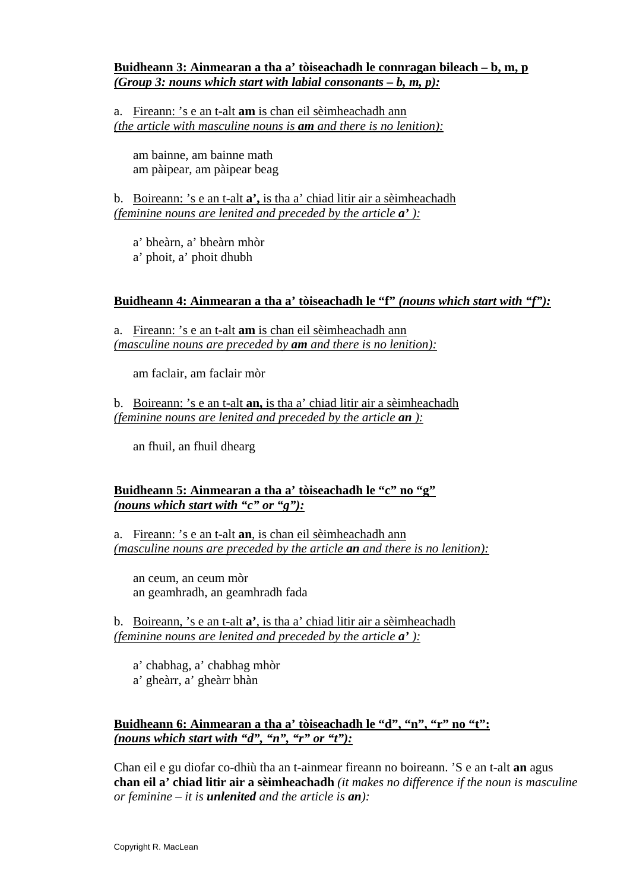#### **Buidheann 3: Ainmearan a tha a' tòiseachadh le connragan bileach – b, m, p**  *(Group 3: nouns which start with labial consonants – b, m, p):*

a. Fireann: 's e an t-alt **am** is chan eil sèimheachadh ann *(the article with masculine nouns is am and there is no lenition):*

am bainne, am bainne math am pàipear, am pàipear beag

b. Boireann: 's e an t-alt **a',** is tha a' chiad litir air a sèimheachadh *(feminine nouns are lenited and preceded by the article a' ):*

a' bheàrn, a' bheàrn mhòr a' phoit, a' phoit dhubh

#### **Buidheann 4: Ainmearan a tha a' tòiseachadh le "f"** *(nouns which start with "f"):*

a. Fireann: 's e an t-alt **am** is chan eil sèimheachadh ann *(masculine nouns are preceded by am and there is no lenition):*

am faclair, am faclair mòr

b. Boireann: 's e an t-alt **an,** is tha a' chiad litir air a sèimheachadh *(feminine nouns are lenited and preceded by the article an ):*

an fhuil, an fhuil dhearg

#### **Buidheann 5: Ainmearan a tha a' tòiseachadh le "c" no "g"** *(nouns which start with "c" or "g"):*

a. Fireann: 's e an t-alt **an**, is chan eil sèimheachadh ann *(masculine nouns are preceded by the article an and there is no lenition):*

an ceum, an ceum mòr an geamhradh, an geamhradh fada

b. Boireann, 's e an t-alt **a'**, is tha a' chiad litir air a sèimheachadh *(feminine nouns are lenited and preceded by the article a' ):*

a' chabhag, a' chabhag mhòr a' gheàrr, a' gheàrr bhàn

#### Buidheann 6: Ainmearan a tha a' tòiseachadh le "d", "n", "r" no "t": *(nouns which start with "d", "n", "r" or "t"):*

Chan eil e gu diofar co-dhiù tha an t-ainmear fireann no boireann. 'S e an t-alt **an** agus **chan eil a' chiad litir air a sèimheachadh** *(it makes no difference if the noun is masculine or feminine – it is unlenited and the article is an):*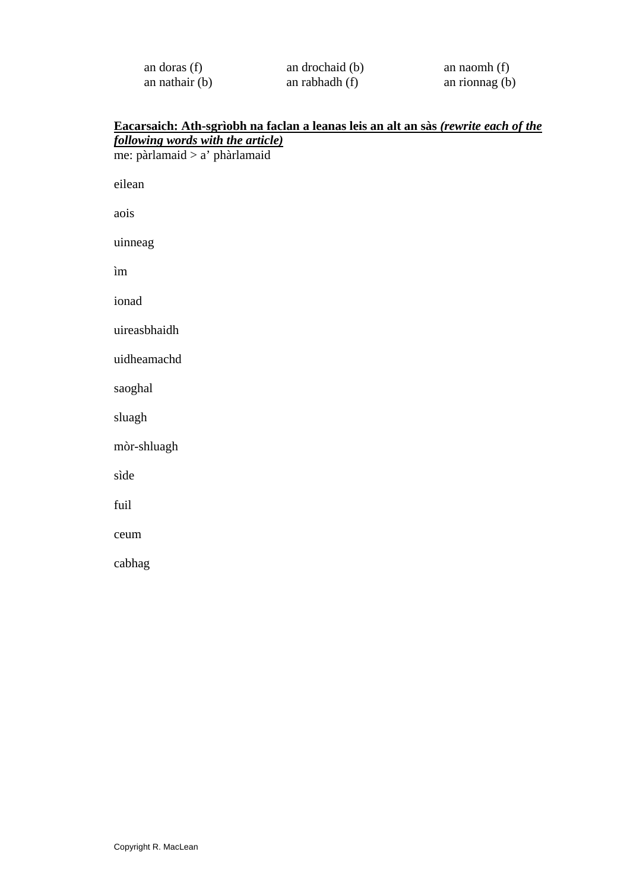| an doras $(f)$   | an drochaid (b) | an naomh $(f)$   |
|------------------|-----------------|------------------|
| an nathair $(b)$ | an rabhadh (f)  | an rionnag $(b)$ |

#### **Eacarsaich: Ath-sgrìobh na faclan a leanas leis an alt an sàs** *(rewrite each of the following words with the article)*

me: pàrlamaid > a' phàrlamaid eilean aois uinneag ìm ionad uireasbhaidh uidheamachd saoghal sluagh mòr-shluagh sìde fuil ceum cabhag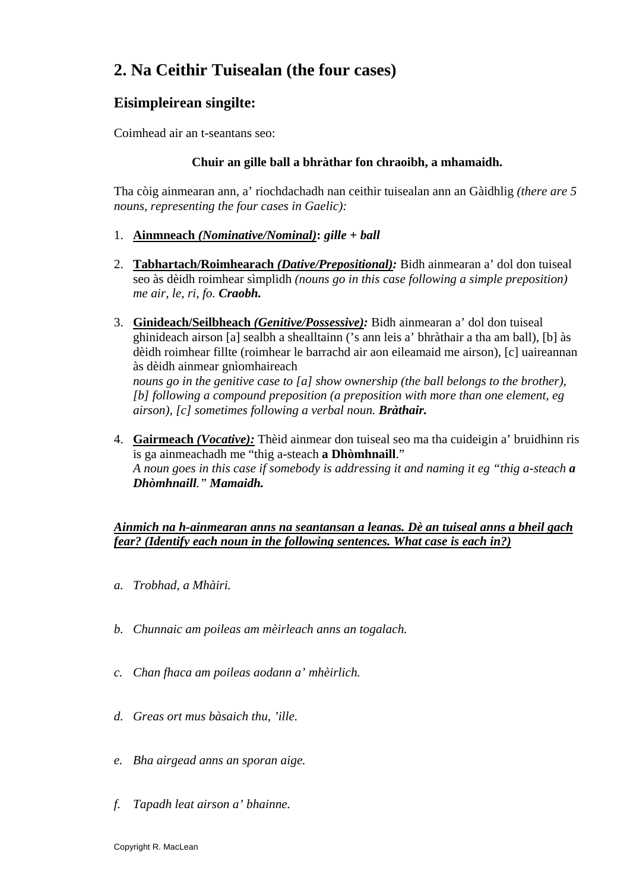# **2. Na Ceithir Tuisealan (the four cases)**

### **Eisimpleirean singilte:**

Coimhead air an t-seantans seo:

#### **Chuir an gille ball a bhràthar fon chraoibh, a mhamaidh.**

Tha còig ainmearan ann, a' riochdachadh nan ceithir tuisealan ann an Gàidhlig *(there are 5 nouns, representing the four cases in Gaelic):* 

- 1. **Ainmneach** *(Nominative/Nominal)***:** *gille + ball*
- 2. **Tabhartach/Roimhearach** *(Dative/Prepositional):* Bidh ainmearan a' dol don tuiseal seo às dèidh roimhear sìmplidh *(nouns go in this case following a simple preposition) me air, le, ri, fo. Craobh.*
- 3. **Ginideach/Seilbheach** *(Genitive/Possessive):* Bidh ainmearan a' dol don tuiseal ghinideach airson [a] sealbh a shealltainn ('s ann leis a' bhràthair a tha am ball), [b] às dèidh roimhear fillte (roimhear le barrachd air aon eileamaid me airson), [c] uaireannan às dèidh ainmear gnìomhaireach *nouns go in the genitive case to [a] show ownership (the ball belongs to the brother),*

*[b] following a compound preposition (a preposition with more than one element, eg airson), [c] sometimes following a verbal noun. Bràthair.* 

4. **Gairmeach** *(Vocative):* Thèid ainmear don tuiseal seo ma tha cuideigin a' bruidhinn ris is ga ainmeachadh me "thig a-steach **a Dhòmhnaill**." *A noun goes in this case if somebody is addressing it and naming it eg "thig a-steach a Dhòmhnaill." Mamaidh.* 

#### *Ainmich na h-ainmearan anns na seantansan a leanas. Dè an tuiseal anns a bheil gach fear? (Identify each noun in the following sentences. What case is each in?)*

- *a. Trobhad, a Mhàiri.*
- *b. Chunnaic am poileas am mèirleach anns an togalach.*
- *c. Chan fhaca am poileas aodann a' mhèirlich.*
- *d. Greas ort mus bàsaich thu, 'ille.*
- *e. Bha airgead anns an sporan aige.*
- *f. Tapadh leat airson a' bhainne.*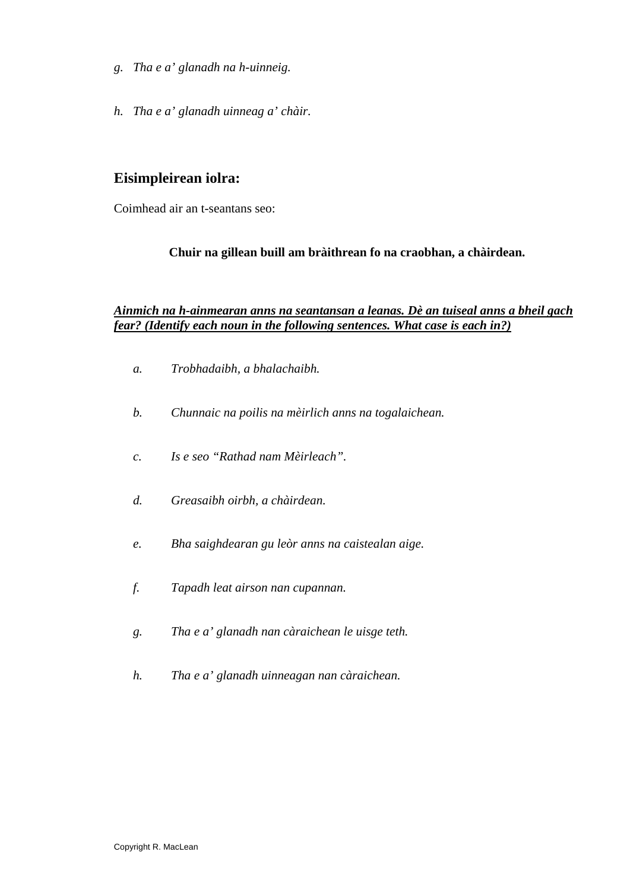- *g. Tha e a' glanadh na h-uinneig.*
- *h. Tha e a' glanadh uinneag a' chàir.*

### **Eisimpleirean iolra:**

Coimhead air an t-seantans seo:

#### **Chuir na gillean buill am bràithrean fo na craobhan, a chàirdean.**

#### *Ainmich na h-ainmearan anns na seantansan a leanas. Dè an tuiseal anns a bheil gach fear? (Identify each noun in the following sentences. What case is each in?)*

*a. Trobhadaibh, a bhalachaibh. b. Chunnaic na poilis na mèirlich anns na togalaichean. c. Is e seo "Rathad nam Mèirleach". d. Greasaibh oirbh, a chàirdean. e. Bha saighdearan gu leòr anns na caistealan aige. f. Tapadh leat airson nan cupannan. g. Tha e a' glanadh nan càraichean le uisge teth. h. Tha e a' glanadh uinneagan nan càraichean.*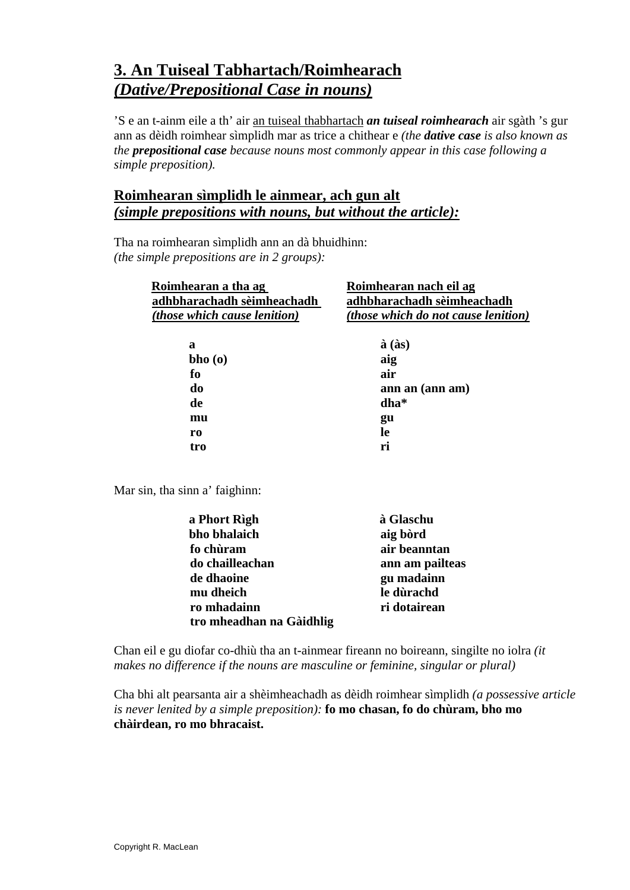# **3. An Tuiseal Tabhartach/Roimhearach** *(Dative/Prepositional Case in nouns)*

'S e an t-ainm eile a th' air an tuiseal thabhartach *an tuiseal roimhearach* air sgàth 's gur ann as dèidh roimhear sìmplidh mar as trice a chithear e *(the dative case is also known as the prepositional case because nouns most commonly appear in this case following a simple preposition).* 

### **Roimhearan sìmplidh le ainmear, ach gun alt**  *(simple prepositions with nouns, but without the article):*

Tha na roimhearan sìmplidh ann an dà bhuidhinn: *(the simple prepositions are in 2 groups):* 

| Roimhearan a tha ag<br>adhbharachadh sèimheachadh | Roimhearan nach eil ag<br>adhbharachadh sèimheachadh |
|---------------------------------------------------|------------------------------------------------------|
| <i>(those which cause lenition)</i>               | <i>(those which do not cause lenition)</i>           |
| a                                                 | $\hat{a}$ ( $\hat{a}s$ )                             |
| bho(0)                                            | aig                                                  |
| fо                                                | air                                                  |
| do                                                | ann an (ann am)                                      |
| de                                                | dha*                                                 |
| mu                                                | gu                                                   |
| ro                                                | -le                                                  |
| tro                                               | ri                                                   |

Mar sin, tha sinn a' faighinn:

| a Phort Rìgh             | à Glaschu       |
|--------------------------|-----------------|
| bho bhalaich             | aig bòrd        |
| fo chùram                | air beanntan    |
| do chailleachan          | ann am pailteas |
| de dhaoine               | gu madainn      |
| mu dheich                | le dùrachd      |
| ro mhadainn              | ri dotairean    |
| tro mheadhan na Gàidhlig |                 |

Chan eil e gu diofar co-dhiù tha an t-ainmear fireann no boireann, singilte no iolra *(it makes no difference if the nouns are masculine or feminine, singular or plural)* 

Cha bhi alt pearsanta air a shèimheachadh as dèidh roimhear sìmplidh *(a possessive article is never lenited by a simple preposition):* **fo mo chasan, fo do chùram, bho mo chàirdean, ro mo bhracaist.**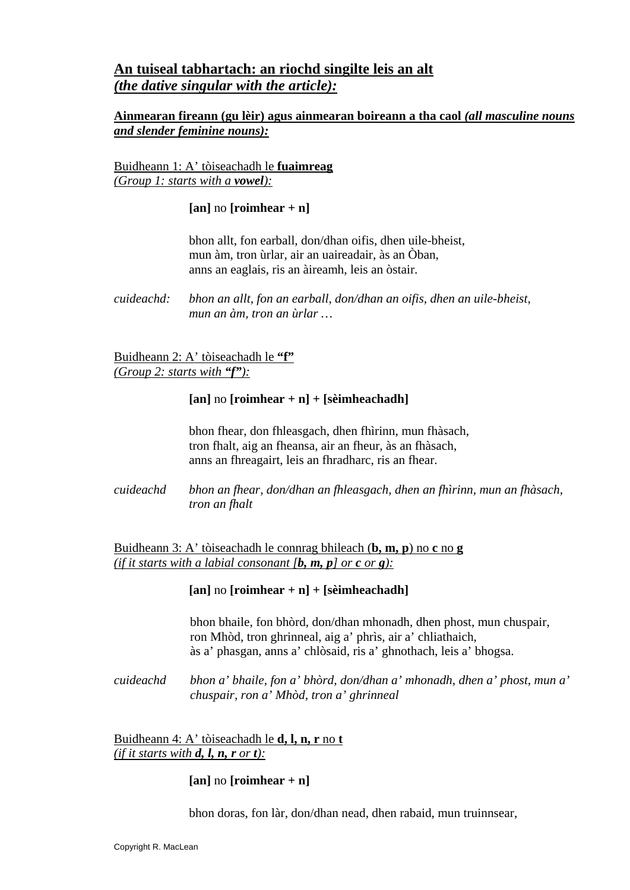### **An tuiseal tabhartach: an riochd singilte leis an alt**  *(the dative singular with the article):*

#### **Ainmearan fireann (gu lèir) agus ainmearan boireann a tha caol** *(all masculine nouns and slender feminine nouns):*

Buidheann 1: A' tòiseachadh le **fuaimreag** *(Group 1: starts with a vowel):*

#### **[an]** no **[roimhear + n]**

 bhon allt, fon earball, don/dhan oifis, dhen uile-bheist, mun àm, tron ùrlar, air an uaireadair, às an Òban, anns an eaglais, ris an àireamh, leis an òstair.

Buidheann 2: A' tòiseachadh le **"f"** *(Group 2: starts with "f"):*

#### $\lceil$ an] no  $\lceil$ roimhear + n $\rceil$  +  $\lceil$ sèimheachadh $\rceil$

 bhon fhear, don fhleasgach, dhen fhìrinn, mun fhàsach, tron fhalt, aig an fheansa, air an fheur, às an fhàsach, anns an fhreagairt, leis an fhradharc, ris an fhear.

*cuideachd bhon an fhear, don/dhan an fhleasgach, dhen an fhìrinn, mun an fhàsach, tron an fhalt*

Buidheann 3: A' tòiseachadh le connrag bhileach (**b, m, p**) no **c** no **g** *(if it starts with a labial consonant [b, m, p] or c or g):*

#### **[an]** no **[roimhear + n] + [sèimheachadh]**

bhon bhaile, fon bhòrd, don/dhan mhonadh, dhen phost, mun chuspair, ron Mhòd, tron ghrinneal, aig a' phrìs, air a' chliathaich, às a' phasgan, anns a' chlòsaid, ris a' ghnothach, leis a' bhogsa.

*cuideachd bhon a' bhaile, fon a' bhòrd, don/dhan a' mhonadh, dhen a' phost, mun a' chuspair, ron a' Mhòd, tron a' ghrinneal* 

Buidheann 4: A' tòiseachadh le **d, l, n, r** no **t** *(if it starts with <i>d*, *l***,** *n***,** *r or t)*:

#### $\lceil$ **an**] no  $\lceil$ **roimhear** + **n**]

bhon doras, fon làr, don/dhan nead, dhen rabaid, mun truinnsear,

*cuideachd: bhon an allt, fon an earball, don/dhan an oifis, dhen an uile-bheist, mun an àm, tron an ùrlar …*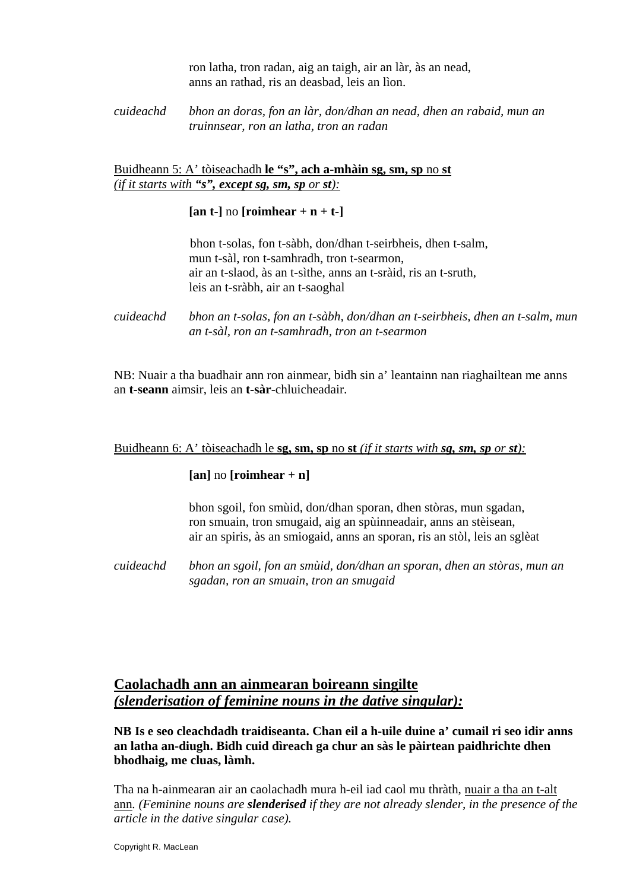ron latha, tron radan, aig an taigh, air an làr, às an nead, anns an rathad, ris an deasbad, leis an lìon.

#### *cuideachd bhon an doras, fon an làr, don/dhan an nead, dhen an rabaid, mun an truinnsear, ron an latha, tron an radan*

#### Buidheann 5: A' tòiseachadh **le "s", ach a-mhàin sg, sm, sp** no **st** *(if it starts with "s", except sg, sm, sp or st):*

 $\lceil$ **an t-** $\rceil$  no  $\lceil$ **roimhear** + **n** + **t-** $\rceil$ 

bhon t-solas, fon t-sàbh, don/dhan t-seirbheis, dhen t-salm, mun t-sàl, ron t-samhradh, tron t-searmon, air an t-slaod, às an t-sìthe, anns an t-sràid, ris an t-sruth, leis an t-sràbh, air an t-saoghal

*cuideachd bhon an t-solas, fon an t-sàbh, don/dhan an t-seirbheis, dhen an t-salm, mun an t-sàl, ron an t-samhradh, tron an t-searmon* 

NB: Nuair a tha buadhair ann ron ainmear, bidh sin a' leantainn nan riaghailtean me anns an **t-seann** aimsir, leis an **t-sàr**-chluicheadair.

#### Buidheann 6: A' tòiseachadh le **sg, sm, sp** no **st** *(if it starts with sg, sm, sp or st):*

#### $\lceil$ **an**] no  $\lceil$ **roimhear** + **n** $\rceil$

 bhon sgoil, fon smùid, don/dhan sporan, dhen stòras, mun sgadan, ron smuain, tron smugaid, aig an spùinneadair, anns an stèisean, air an spiris, às an smiogaid, anns an sporan, ris an stòl, leis an sglèat

*cuideachd bhon an sgoil, fon an smùid, don/dhan an sporan, dhen an stòras, mun an sgadan, ron an smuain, tron an smugaid* 

### **Caolachadh ann an ainmearan boireann singilte** *(slenderisation of feminine nouns in the dative singular):*

**NB Is e seo cleachdadh traidiseanta. Chan eil a h-uile duine a' cumail ri seo idir anns an latha an-diugh. Bidh cuid dìreach ga chur an sàs le pàirtean paidhrichte dhen bhodhaig, me cluas, làmh.** 

Tha na h-ainmearan air an caolachadh mura h-eil iad caol mu thràth, nuair a tha an t-alt ann*. (Feminine nouns are slenderised if they are not already slender, in the presence of the article in the dative singular case).*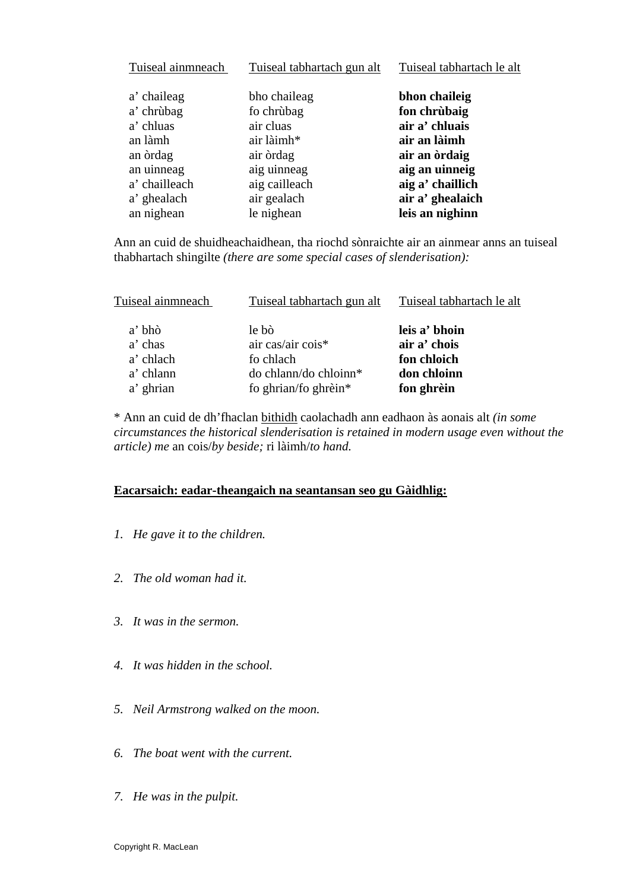| Tuiseal ainmneach | Tuiseal tabhartach gun alt | Tuiseal tabhartach le alt |
|-------------------|----------------------------|---------------------------|
| a' chaileag       | bho chaileag               | bhon chaileig             |
| a' chrùbag        | fo chrùbag                 | fon chrùbaig              |
| a' chluas         | air cluas                  | air a' chluais            |
| an làmh           | air làimh*                 | air an làimh              |
| an òrdag          | air òrdag                  | air an ordaig             |
| an uinneag        | aig uinneag                | aig an uinneig            |
| a' chailleach     | aig cailleach              | aig a' chaillich          |
| a' ghealach       | air gealach                | air a' ghealaich          |
| an nighean        | le nighean                 | leis an nighinn           |

Ann an cuid de shuidheachaidhean, tha riochd sònraichte air an ainmear anns an tuiseal thabhartach shingilte *(there are some special cases of slenderisation):* 

| Tuiseal ainmneach | Tuiseal tabhartach gun alt | Tuiseal tabhartach le alt     |
|-------------------|----------------------------|-------------------------------|
| a' bhò<br>a' chas | le bò<br>air cas/air cois* | leis a' bhoin<br>air a' chois |
| a' chlach         | fo chlach                  | fon chloich                   |
| a' chlann         | do chlann/do chloinn*      | don chloinn                   |
| a' ghrian         | fo ghrian/fo ghrèin*       | fon ghrèin                    |

\* Ann an cuid de dh'fhaclan bithidh caolachadh ann eadhaon às aonais alt *(in some circumstances the historical slenderisation is retained in modern usage even without the article) me* an cois/*by beside;* ri làimh/*to hand.*

#### **Eacarsaich: eadar-theangaich na seantansan seo gu Gàidhlig:**

- *1. He gave it to the children.*
- *2. The old woman had it.*
- *3. It was in the sermon.*
- *4. It was hidden in the school.*
- *5. Neil Armstrong walked on the moon.*
- *6. The boat went with the current.*
- *7. He was in the pulpit.*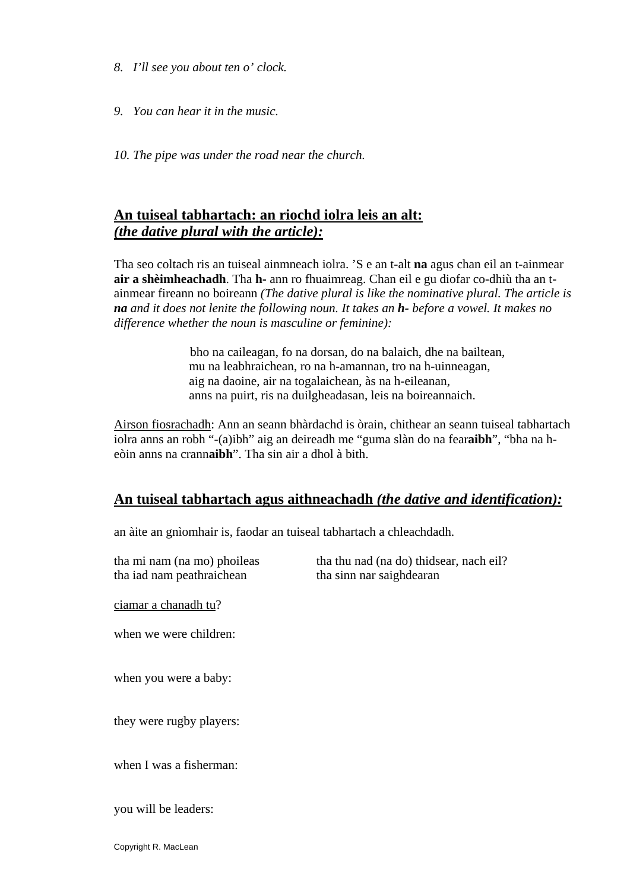- *8. I'll see you about ten o' clock.*
- *9. You can hear it in the music.*
- *10. The pipe was under the road near the church.*

### **An tuiseal tabhartach: an riochd iolra leis an alt:** *(the dative plural with the article):*

Tha seo coltach ris an tuiseal ainmneach iolra. 'S e an t-alt **na** agus chan eil an t-ainmear **air a shèimheachadh**. Tha **h-** ann ro fhuaimreag. Chan eil e gu diofar co-dhiù tha an tainmear fireann no boireann *(The dative plural is like the nominative plural. The article is na and it does not lenite the following noun. It takes an h- before a vowel. It makes no difference whether the noun is masculine or feminine):* 

> bho na caileagan, fo na dorsan, do na balaich, dhe na bailtean, mu na leabhraichean, ro na h-amannan, tro na h-uinneagan, aig na daoine, air na togalaichean, às na h-eileanan, anns na puirt, ris na duilgheadasan, leis na boireannaich.

Airson fiosrachadh: Ann an seann bhàrdachd is òrain, chithear an seann tuiseal tabhartach iolra anns an robh "-(a)ibh" aig an deireadh me "guma slàn do na fear**aibh**", "bha na heòin anns na crann**aibh**". Tha sin air a dhol à bith.

#### **An tuiseal tabhartach agus aithneachadh** *(the dative and identification):*

an àite an gnìomhair is, faodar an tuiseal tabhartach a chleachdadh.

tha mi nam (na mo) phoileas tha thu nad (na do) thidsear, nach eil? tha iad nam peathraichean tha sinn nar saighdearan ciamar a chanadh tu? when we were children: when you were a baby: they were rugby players: when I was a fisherman: you will be leaders:

Copyright R. MacLean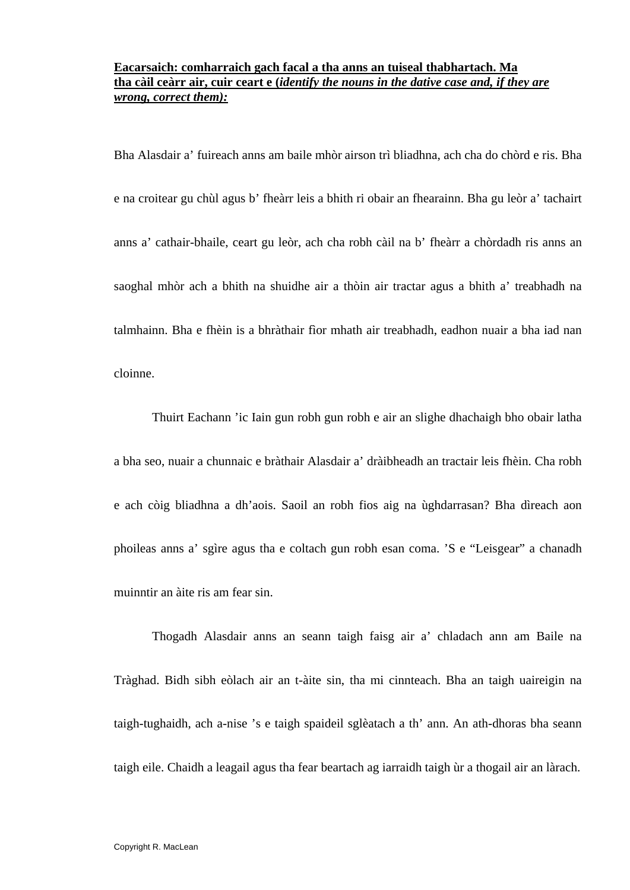#### **Eacarsaich: comharraich gach facal a tha anns an tuiseal thabhartach. Ma tha càil ceàrr air, cuir ceart e (***identify the nouns in the dative case and, if they are wrong, correct them):*

Bha Alasdair a' fuireach anns am baile mhòr airson trì bliadhna, ach cha do chòrd e ris. Bha e na croitear gu chùl agus b' fheàrr leis a bhith ri obair an fhearainn. Bha gu leòr a' tachairt anns a' cathair-bhaile, ceart gu leòr, ach cha robh càil na b' fheàrr a chòrdadh ris anns an saoghal mhòr ach a bhith na shuidhe air a thòin air tractar agus a bhith a' treabhadh na talmhainn. Bha e fhèin is a bhràthair fìor mhath air treabhadh, eadhon nuair a bha iad nan cloinne.

 Thuirt Eachann 'ic Iain gun robh gun robh e air an slighe dhachaigh bho obair latha a bha seo, nuair a chunnaic e bràthair Alasdair a' dràibheadh an tractair leis fhèin. Cha robh e ach còig bliadhna a dh'aois. Saoil an robh fios aig na ùghdarrasan? Bha dìreach aon phoileas anns a' sgìre agus tha e coltach gun robh esan coma. 'S e "Leisgear" a chanadh muinntir an àite ris am fear sin.

Thogadh Alasdair anns an seann taigh faisg air a' chladach ann am Baile na Tràghad. Bidh sibh eòlach air an t-àite sin, tha mi cinnteach. Bha an taigh uaireigin na taigh-tughaidh, ach a-nise 's e taigh spaideil sglèatach a th' ann. An ath-dhoras bha seann taigh eile. Chaidh a leagail agus tha fear beartach ag iarraidh taigh ùr a thogail air an làrach.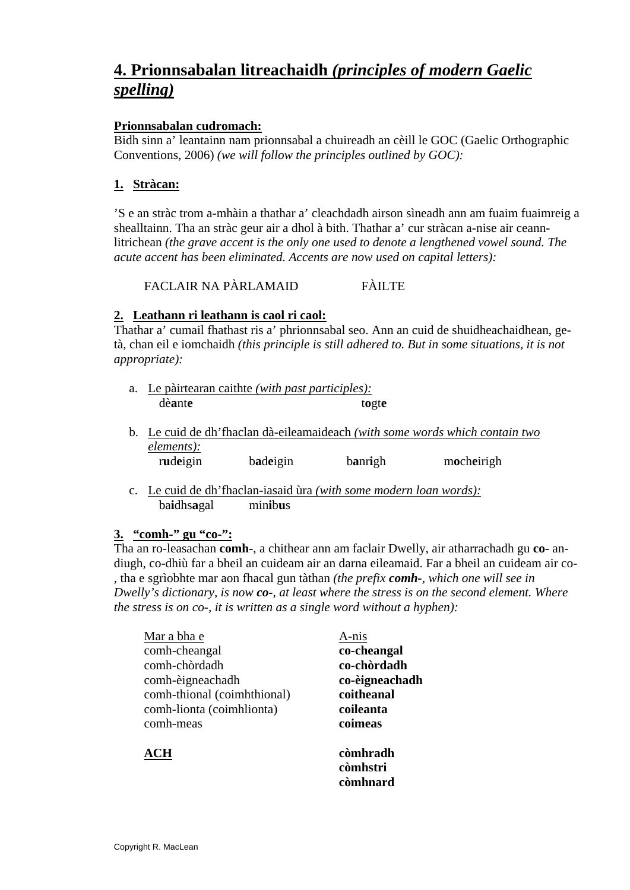# **4. Prionnsabalan litreachaidh** *(principles of modern Gaelic spelling)*

#### **Prionnsabalan cudromach:**

Bidh sinn a' leantainn nam prionnsabal a chuireadh an cèill le GOC (Gaelic Orthographic Conventions, 2006) *(we will follow the principles outlined by GOC):* 

#### **1. Stràcan:**

'S e an stràc trom a-mhàin a thathar a' cleachdadh airson sìneadh ann am fuaim fuaimreig a shealltainn. Tha an stràc geur air a dhol à bith. Thathar a' cur stràcan a-nise air ceannlitrichean *(the grave accent is the only one used to denote a lengthened vowel sound. The acute accent has been eliminated. Accents are now used on capital letters):* 

FACLAIR NA PÀRLAMAID FÀILTE

#### **2. Leathann ri leathann is caol ri caol:**

Thathar a' cumail fhathast ris a' phrionnsabal seo. Ann an cuid de shuidheachaidhean, getà, chan eil e iomchaidh *(this principle is still adhered to. But in some situations, it is not appropriate):* 

- a. Le pàirtearan caithte *(with past participles):* dèante togte
- b. Le cuid de dh'fhaclan dà-eileamaideach *(with some words which contain two elements):* rudeigin badeigin banrigh mocheirigh
- c. Le cuid de dh'fhaclan-iasaid ùra *(with some modern loan words):* ba**i**dhs**a**gal min**i**b**u**s

#### **3. "comh-" gu "co-":**

Tha an ro-leasachan **comh-**, a chithear ann am faclair Dwelly, air atharrachadh gu **co-** andiugh, co-dhiù far a bheil an cuideam air an darna eileamaid. Far a bheil an cuideam air co- , tha e sgrìobhte mar aon fhacal gun tàthan *(the prefix comh-, which one will see in Dwelly's dictionary, is now co-, at least where the stress is on the second element. Where the stress is on co-, it is written as a single word without a hyphen):* 

| Mar a bha e                 | A-nis          |
|-----------------------------|----------------|
| comh-cheangal               | co-cheangal    |
| comh-chòrdadh               | co-chòrdadh    |
| comh-èigneachadh            | co-èigneachadh |
| comh-thional (coimhthional) | coitheanal     |
| comh-lionta (coimhlionta)   | coileanta      |
| comh-meas                   | coimeas        |
| ACH                         | còmhradh       |
|                             | còmhstri       |
|                             | còmhnard       |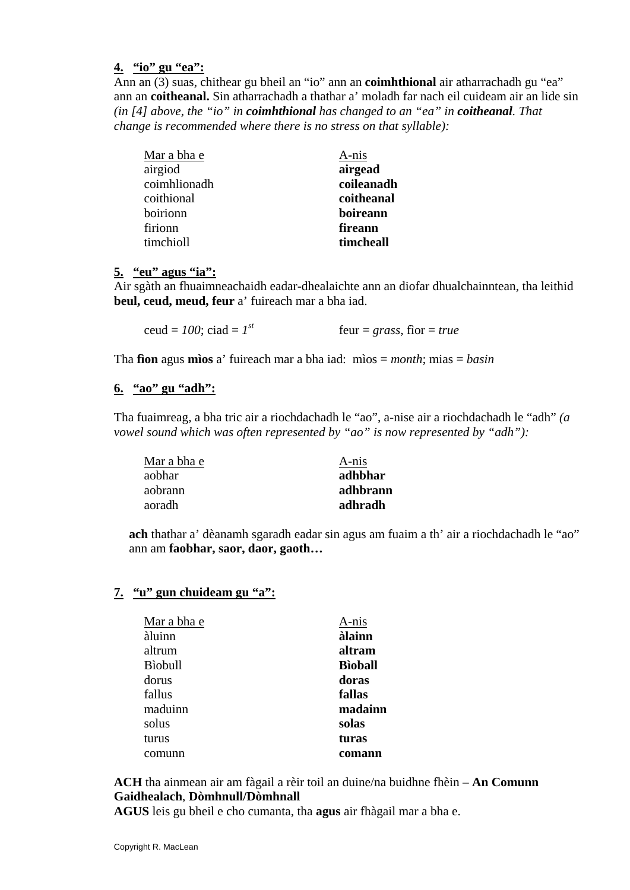#### **4. "io" gu "ea":**

Ann an (3) suas, chithear gu bheil an "io" ann an **coimhthional** air atharrachadh gu "ea" ann an **coitheanal.** Sin atharrachadh a thathar a' moladh far nach eil cuideam air an lide sin *(in [4] above, the "io" in coimhthional has changed to an "ea" in coitheanal. That change is recommended where there is no stress on that syllable):* 

| Mar a bha e  | A-nis      |
|--------------|------------|
| airgiod      | airgead    |
| coimhlionadh | coileanadh |
| coithional   | coitheanal |
| boirionn     | boireann   |
| firionn      | fireann    |
| timchioll    | timcheall  |

#### **5. "eu" agus "ia":**

Air sgàth an fhuaimneachaidh eadar-dhealaichte ann an diofar dhualchainntean, tha leithid **beul, ceud, meud, feur** a' fuireach mar a bha iad.

| ceud = $100$ ; ciad = $1^{st}$ | feur = grass, fìor = true |
|--------------------------------|---------------------------|
|                                |                           |

Tha **fìon** agus **mìos** a' fuireach mar a bha iad: mìos = *month*; mias = *basin* 

#### **6. "ao" gu "adh":**

Tha fuaimreag, a bha tric air a riochdachadh le "ao", a-nise air a riochdachadh le "adh" *(a vowel sound which was often represented by "ao" is now represented by "adh"):* 

| Mar a bha e | A-nis    |
|-------------|----------|
| aobhar      | adhbhar  |
| aobrann     | adhbrann |
| aoradh      | adhradh  |

**ach** thathar a' dèanamh sgaradh eadar sin agus am fuaim a th' air a riochdachadh le "ao" ann am **faobhar, saor, daor, gaoth…** 

#### **7. "u" gun chuideam gu "a":**

| Mar a bha e | A-nis          |
|-------------|----------------|
| àluinn      | àlainn         |
| altrum      | altram         |
| Bìobull     | <b>Bioball</b> |
| dorus       | doras          |
| fallus      | fallas         |
| maduinn     | madainn        |
| solus       | solas          |
| turus       | turas          |
| comunn      | comann         |

**ACH** tha ainmean air am fàgail a rèir toil an duine/na buidhne fhèin – **An Comunn Gaidhealach**, **Dòmhnull/Dòmhnall** 

**AGUS** leis gu bheil e cho cumanta, tha **agus** air fhàgail mar a bha e.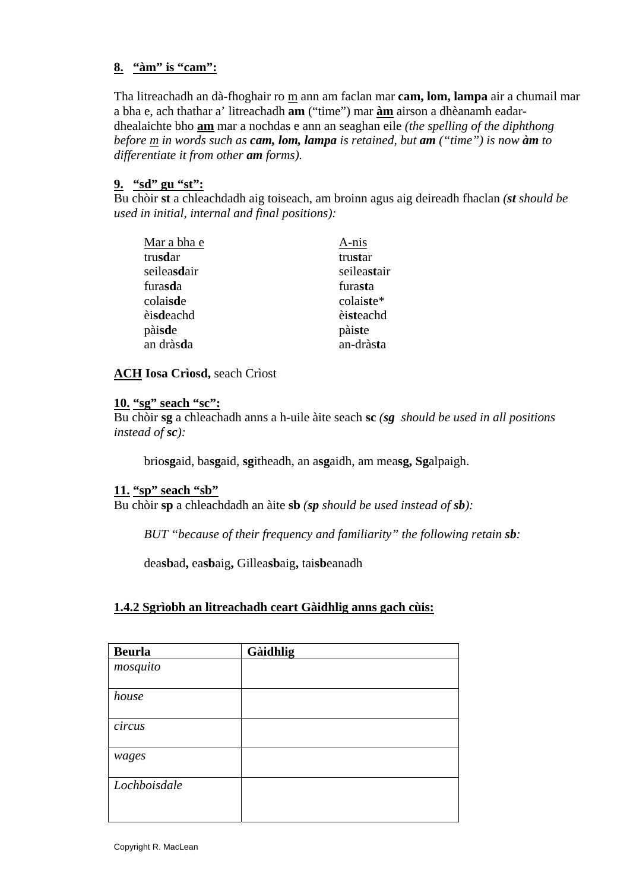#### **8. "àm" is "cam":**

Tha litreachadh an dà-fhoghair ro m ann am faclan mar **cam, lom, lampa** air a chumail mar a bha e, ach thathar a' litreachadh **am** ("time") mar **àm** airson a dhèanamh eadardhealaichte bho **am** mar a nochdas e ann an seaghan eile *(the spelling of the diphthong before m in words such as cam, lom, lampa is retained, but am ("time") is now àm to differentiate it from other am forms).* 

#### **9. "sd" gu "st":**

Bu chòir **st** a chleachdadh aig toiseach, am broinn agus aig deireadh fhaclan *(st should be used in initial, internal and final positions):* 

| Mar a bha e        | A-nis       |
|--------------------|-------------|
| trusdar            | trustar     |
| seileasdair        | seileastair |
| furasda            | furasta     |
| colaisde           | colaiste*   |
| èisdeachd          | èisteachd   |
| pàisde             | pàiste      |
| an dràs <b>d</b> a | an-dràsta   |

#### **ACH Iosa Crìosd,** seach Crìost

#### **10. "sg" seach "sc":**

Bu chòir **sg** a chleachadh anns a h-uile àite seach **sc** *(sg should be used in all positions instead of sc):* 

brio**sg**aid, ba**sg**aid, **sg**itheadh, an a**sg**aidh, am mea**sg, Sg**alpaigh.

#### **11. "sp" seach "sb"**

Bu chòir **sp** a chleachdadh an àite **sb** *(sp should be used instead of sb):* 

 *BUT "because of their frequency and familiarity" the following retain sb:* 

dea**sb**ad**,** ea**sb**aig**,** Gillea**sb**aig**,** tai**sb**eanadh

#### **1.4.2 Sgrìobh an litreachadh ceart Gàidhlig anns gach cùis:**

| <b>Beurla</b> | Gàidhlig |
|---------------|----------|
| mosquito      |          |
| house         |          |
| circus        |          |
| wages         |          |
| Lochboisdale  |          |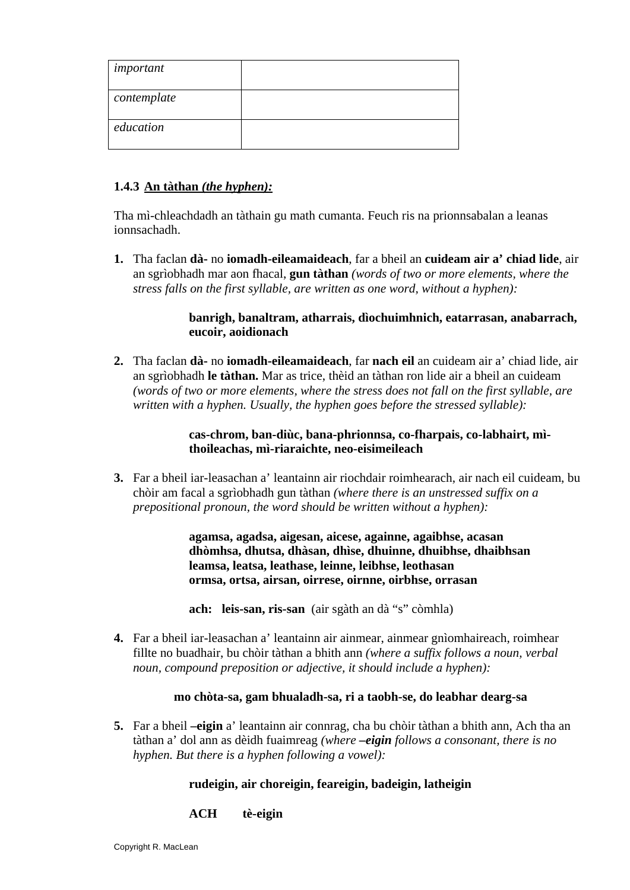| important   |  |
|-------------|--|
| contemplate |  |
| education   |  |

#### **1.4.3 An tàthan** *(the hyphen):*

Tha mì-chleachdadh an tàthain gu math cumanta. Feuch ris na prionnsabalan a leanas ionnsachadh.

**1.** Tha faclan **dà-** no **iomadh-eileamaideach**, far a bheil an **cuideam air a' chiad lide**, air an sgrìobhadh mar aon fhacal, **gun tàthan** *(words of two or more elements, where the stress falls on the first syllable, are written as one word, without a hyphen):* 

#### **banrigh, banaltram, atharrais, dìochuimhnich, eatarrasan, anabarrach, eucoir, aoidionach**

**2.** Tha faclan **dà-** no **iomadh-eileamaideach**, far **nach eil** an cuideam air a' chiad lide, air an sgrìobhadh **le tàthan.** Mar as trice, thèid an tàthan ron lide air a bheil an cuideam *(words of two or more elements, where the stress does not fall on the first syllable, are written with a hyphen. Usually, the hyphen goes before the stressed syllable):* 

#### **cas-chrom, ban-diùc, bana-phrionnsa, co-fharpais, co-labhairt, mìthoileachas, mì-riaraichte, neo-eisimeileach**

**3.** Far a bheil iar-leasachan a' leantainn air riochdair roimhearach, air nach eil cuideam, bu chòir am facal a sgrìobhadh gun tàthan *(where there is an unstressed suffix on a prepositional pronoun, the word should be written without a hyphen):*

> **agamsa, agadsa, aigesan, aicese, againne, agaibhse, acasan dhòmhsa, dhutsa, dhàsan, dhìse, dhuinne, dhuibhse, dhaibhsan leamsa, leatsa, leathase, leinne, leibhse, leothasan ormsa, ortsa, airsan, oirrese, oirnne, oirbhse, orrasan**

 **ach: leis-san, ris-san** (air sgàth an dà "s" còmhla)

**4.** Far a bheil iar-leasachan a' leantainn air ainmear, ainmear gnìomhaireach, roimhear fillte no buadhair, bu chòir tàthan a bhith ann *(where a suffix follows a noun, verbal noun, compound preposition or adjective, it should include a hyphen):*

#### **mo chòta-sa, gam bhualadh-sa, ri a taobh-se, do leabhar dearg-sa**

**5.** Far a bheil **–eigin** a' leantainn air connrag, cha bu chòir tàthan a bhith ann, Ach tha an tàthan a' dol ann as dèidh fuaimreag *(where –eigin follows a consonant, there is no hyphen. But there is a hyphen following a vowel):* 

#### **rudeigin, air choreigin, feareigin, badeigin, latheigin**

#### **ACH tè-eigin**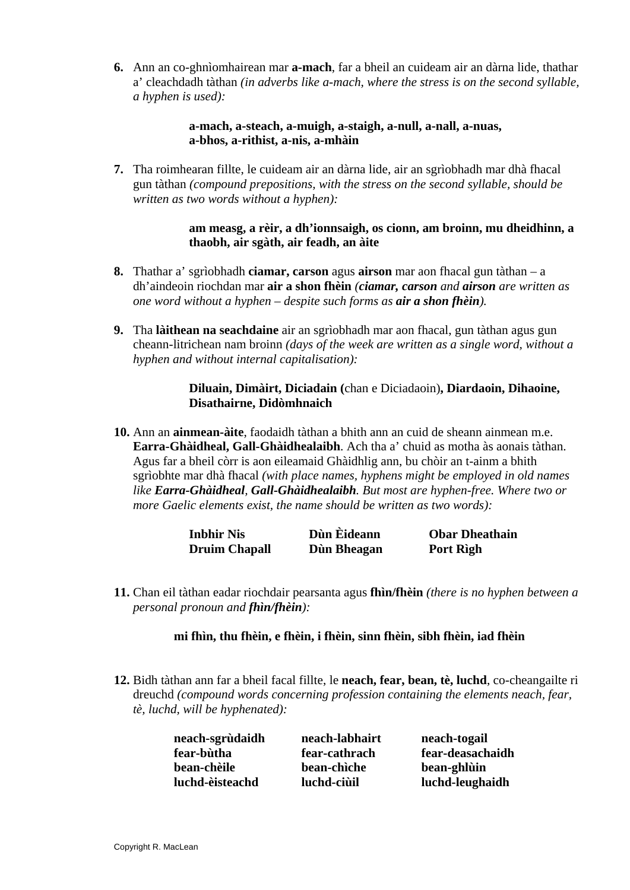**6.** Ann an co-ghnìomhairean mar **a-mach**, far a bheil an cuideam air an dàrna lide, thathar a' cleachdadh tàthan *(in adverbs like a-mach, where the stress is on the second syllable, a hyphen is used):*

> **a-mach, a-steach, a-muigh, a-staigh, a-null, a-nall, a-nuas, a-bhos, a-rithist, a-nis, a-mhàin**

**7.** Tha roimhearan fillte, le cuideam air an dàrna lide, air an sgrìobhadh mar dhà fhacal gun tàthan *(compound prepositions, with the stress on the second syllable, should be written as two words without a hyphen):*

> **am measg, a rèir, a dh'ionnsaigh, os cionn, am broinn, mu dheidhinn, a thaobh, air sgàth, air feadh, an àite**

- **8.** Thathar a' sgrìobhadh **ciamar, carson** agus **airson** mar aon fhacal gun tàthan a dh'aindeoin riochdan mar **air a shon fhèin** *(ciamar, carson and airson are written as one word without a hyphen – despite such forms as air a shon fhèin).*
- **9.** Tha **làithean na seachdaine** air an sgrìobhadh mar aon fhacal, gun tàthan agus gun cheann-litrichean nam broinn *(days of the week are written as a single word, without a hyphen and without internal capitalisation):*

#### **Diluain, Dimàirt, Diciadain (**chan e Diciadaoin)**, Diardaoin, Dihaoine, Disathairne, Didòmhnaich**

**10.** Ann an **ainmean-àite**, faodaidh tàthan a bhith ann an cuid de sheann ainmean m.e. **Earra-Ghàidheal, Gall-Ghàidhealaibh**. Ach tha a' chuid as motha às aonais tàthan. Agus far a bheil còrr is aon eileamaid Ghàidhlig ann, bu chòir an t-ainm a bhith sgrìobhte mar dhà fhacal *(with place names, hyphens might be employed in old names like Earra-Ghàidheal, Gall-Ghàidhealaibh. But most are hyphen-free. Where two or more Gaelic elements exist, the name should be written as two words):* 

| Inbhir Nis           | Dùn Èideann | <b>Obar Dheathain</b> |
|----------------------|-------------|-----------------------|
| <b>Druim Chapall</b> | Dùn Bheagan | Port Rìgh             |

**11.** Chan eil tàthan eadar riochdair pearsanta agus **fhìn/fhèin** *(there is no hyphen between a personal pronoun and fhìn/fhèin):*

#### **mi fhìn, thu fhèin, e fhèin, i fhèin, sinn fhèin, sibh fhèin, iad fhèin**

**12.** Bidh tàthan ann far a bheil facal fillte, le **neach, fear, bean, tè, luchd**, co-cheangailte ri dreuchd *(compound words concerning profession containing the elements neach, fear, tè, luchd, will be hyphenated):*

| neach-sgrùdaidh | neach-labhairt | neach-togail     |
|-----------------|----------------|------------------|
| fear-bùtha      | fear-cathrach  | fear-deasachaidh |
| bean-chèile     | bean-chiche    | bean-ghlùin      |
| luchd-èisteachd | luchd-ciùil    | luchd-leughaidh  |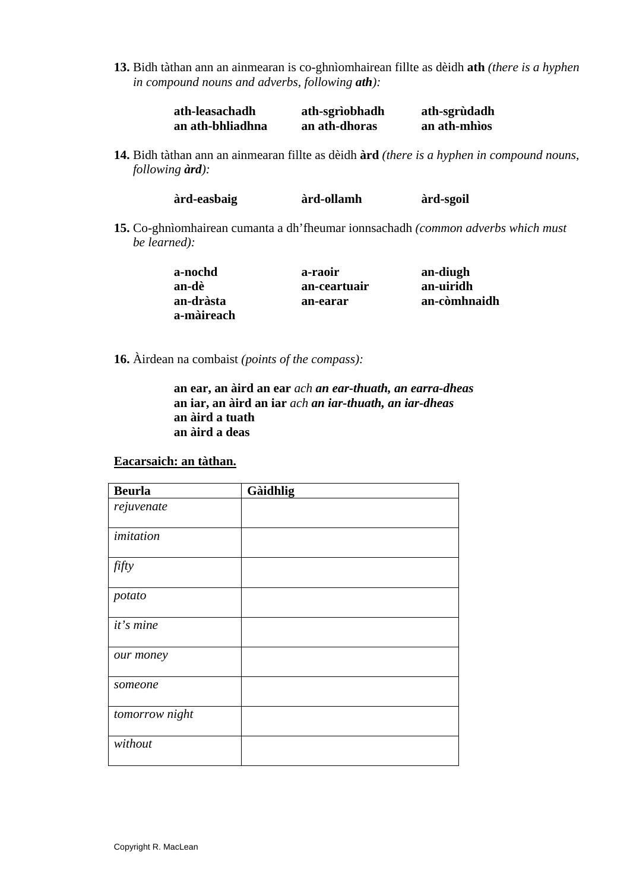**13.** Bidh tàthan ann an ainmearan is co-ghnìomhairean fillte as dèidh **ath** *(there is a hyphen in compound nouns and adverbs, following ath):*

| ath-leasachadh   | ath-sgrìobhadh | ath-sgrùdadh |
|------------------|----------------|--------------|
| an ath-bhliadhna | an ath-dhoras  | an ath-mhios |

**14.** Bidh tàthan ann an ainmearan fillte as dèidh **àrd** *(there is a hyphen in compound nouns, following àrd):*

| àrd-easbaig | àrd-ollamh | àrd-sgoil |
|-------------|------------|-----------|
|             |            |           |

**15.** Co-ghnìomhairean cumanta a dh'fheumar ionnsachadh *(common adverbs which must be learned):*

| a-nochd    | a-raoir      | an-diugh     |
|------------|--------------|--------------|
| an-dè      | an-ceartuair | an-uiridh    |
| an-dràsta  | an-earar     | an-còmhnaidh |
| a-màireach |              |              |

**16.** Àirdean na combaist *(points of the compass):*

**an ear, an àird an ear** *ach an ear-thuath, an earra-dheas*  **an iar, an àird an iar** *ach an iar-thuath, an iar-dheas*  **an àird a tuath an àird a deas** 

#### **Eacarsaich: an tàthan.**

| <b>Beurla</b>  | Gàidhlig |
|----------------|----------|
| rejuvenate     |          |
| imitation      |          |
| fifty          |          |
| potato         |          |
| it's mine      |          |
| our money      |          |
| someone        |          |
| tomorrow night |          |
| without        |          |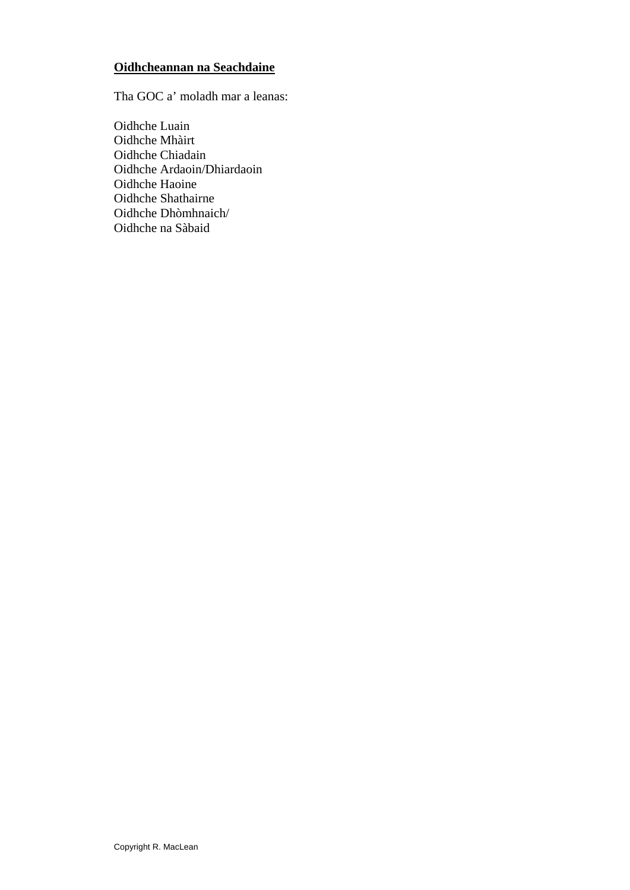#### **Oidhcheannan na Seachdaine**

Tha GOC a' moladh mar a leanas:

Oidhche Luain Oidhche Mhàirt Oidhche Chiadain Oidhche Ardaoin/Dhiardaoin Oidhche Haoine Oidhche Shathairne Oidhche Dhòmhnaich/ Oidhche na Sàbaid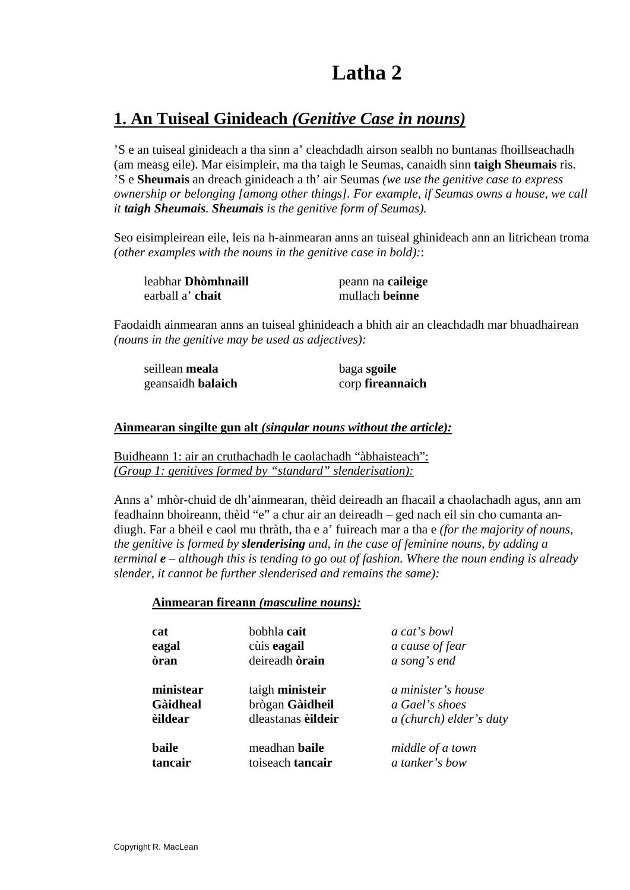# **Latha 2**

# **1. An Tuiseal Ginideach** *(Genitive Case in nouns)*

'S e an tuiseal ginideach a tha sinn a' cleachdadh airson sealbh no buntanas fhoillseachadh (am measg eile). Mar eisimpleir, ma tha taigh le Seumas, canaidh sinn **taigh Sheumais** ris. 'S e **Sheumais** an dreach ginideach a th' air Seumas *(we use the genitive case to express ownership or belonging [among other things]. For example, if Seumas owns a house, we call it taigh Sheumais. Sheumais is the genitive form of Seumas).* 

Seo eisimpleirean eile, leis na h-ainmearan anns an tuiseal ghinideach ann an litrichean troma *(other examples with the nouns in the genitive case in bold):*:

| leabhar <b>Dhòmhnaill</b> | peann na caileige |
|---------------------------|-------------------|
| earball a' chait          | mullach beinne    |

Faodaidh ainmearan anns an tuiseal ghinideach a bhith air an cleachdadh mar bhuadhairean *(nouns in the genitive may be used as adjectives):* 

| seillean meala    | baga sgoile      |
|-------------------|------------------|
| geansaidh balaich | corp fireannaich |

#### **Ainmearan singilte gun alt** *(singular nouns without the article):*

Buidheann 1: air an cruthachadh le caolachadh "àbhaisteach": *(Group 1: genitives formed by "standard" slenderisation):*

Anns a' mhòr-chuid de dh'ainmearan, thèid deireadh an fhacail a chaolachadh agus, ann am feadhainn bhoireann, thèid "e" a chur air an deireadh – ged nach eil sin cho cumanta andiugh. Far a bheil e caol mu thràth, tha e a' fuireach mar a tha e *(for the majority of nouns, the genitive is formed by slenderising and, in the case of feminine nouns, by adding a terminal e – although this is tending to go out of fashion. Where the noun ending is already slender, it cannot be further slenderised and remains the same):* 

#### **Ainmearan fireann** *(masculine nouns):*

| cat<br>eagal<br>òran | bobhla cait<br>cùis eagail<br>deireadh <b>òrain</b> | a cat's bowl<br>a cause of fear<br>a song's end |
|----------------------|-----------------------------------------------------|-------------------------------------------------|
| ministear            | taigh ministeir                                     | a minister's house                              |
| <b>Gàidheal</b>      | brògan Gàidheil                                     | a Gael's shoes                                  |
| <b>èildear</b>       | dleastanas eildeir                                  | a (church) elder's duty                         |
| baile                | meadhan <b>baile</b>                                | middle of a town                                |
| tancair              | toiseach tancair                                    | a tanker's bow                                  |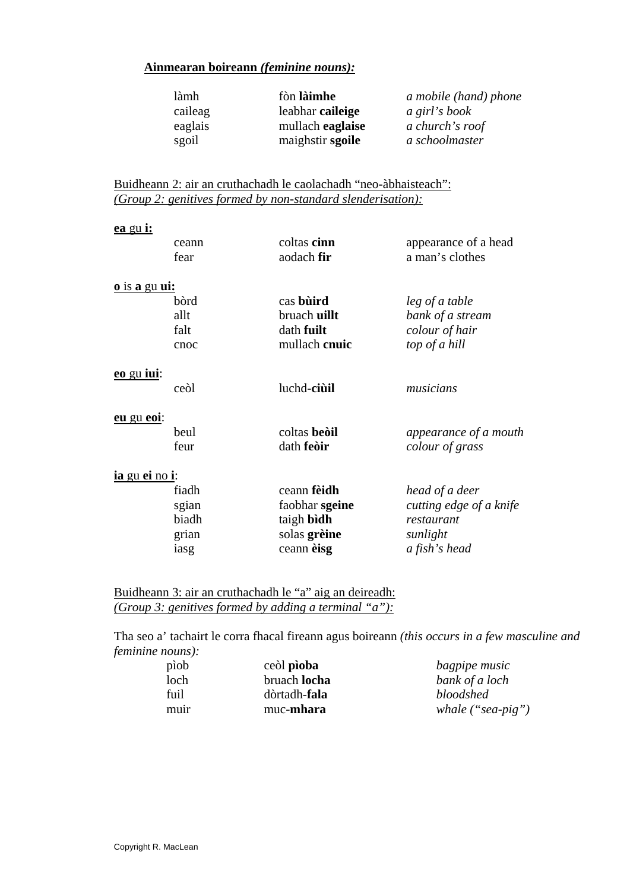| làmh    | fòn làimhe       | a mobile (hand) phone |
|---------|------------------|-----------------------|
| caileag | leabhar caileige | a girl's book         |
| eaglais | mullach eaglaise | a church's roof       |
| sgoil   | maighstir sgoile | a schoolmaster        |

Buidheann 2: air an cruthachadh le caolachadh "neo-àbhaisteach": *(Group 2: genitives formed by non-standard slenderisation):*

| <u>ea gu i:</u>        |       |                |                         |
|------------------------|-------|----------------|-------------------------|
|                        | ceann | coltas cinn    | appearance of a head    |
|                        | fear  | aodach fir     | a man's clothes         |
| <u>o is a gu ui:</u>   |       |                |                         |
|                        | bòrd  | cas buird      | leg of a table          |
|                        | allt  | bruach uillt   | bank of a stream        |
|                        | falt  | dath fuilt     | colour of hair          |
|                        | cnoc  | mullach cnuic  | top of a hill           |
| <u>eo gu iui:</u>      |       |                |                         |
|                        | ceòl  | luchd-ciùil    | musicians               |
| eu gu eoi:             |       |                |                         |
|                        | heul  | coltas beòil   | appearance of a mouth   |
|                        | feur  | dath feòir     | colour of grass         |
| <u>ia gu ei no i</u> : |       |                |                         |
|                        | fiadh | ceann fèidh    | head of a deer          |
|                        | sgian | faobhar sgeine | cutting edge of a knife |
|                        | biadh | taigh bìdh     | restaurant              |
|                        | grian | solas grèine   | sunlight                |
|                        | iasg  | ceann èisg     | a fish's head           |
|                        |       |                |                         |

Buidheann 3: air an cruthachadh le "a" aig an deireadh: *(Group 3: genitives formed by adding a terminal "a"):*

Tha seo a' tachairt le corra fhacal fireann agus boireann *(this occurs in a few masculine and feminine nouns):* 

| piob | ceòl pioba           | bagpipe music       |
|------|----------------------|---------------------|
| loch | bruach <b>locha</b>  | bank of a loch      |
| fuil | dòrtadh- <b>fala</b> | bloodshed           |
| muir | muc-mhara            | whale $("sea-pig")$ |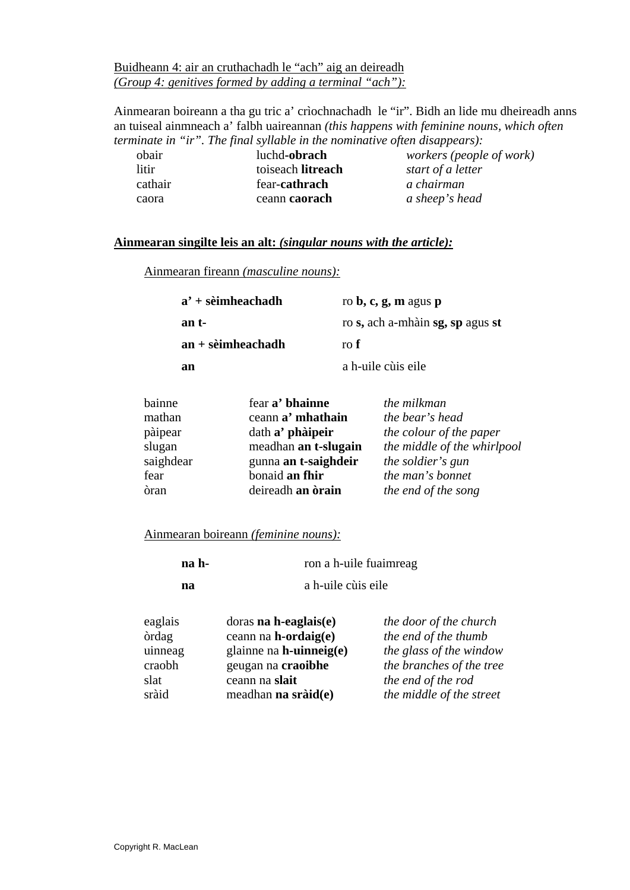Buidheann 4: air an cruthachadh le "ach" aig an deireadh *(Group 4: genitives formed by adding a terminal "ach"):*

Ainmearan boireann a tha gu tric a' crìochnachadh le "ir". Bidh an lide mu dheireadh anns an tuiseal ainmneach a' falbh uaireannan *(this happens with feminine nouns, which often terminate in "ir". The final syllable in the nominative often disappears):* 

| obair   | luchd-obrach      | workers (people of work) |
|---------|-------------------|--------------------------|
| litir.  | toiseach litreach | start of a letter        |
| cathair | fear-cathrach     | a chairman               |
| caora   | ceann caorach     | a sheep's head           |
|         |                   |                          |

#### **Ainmearan singilte leis an alt:** *(singular nouns with the article):*

Ainmearan fireann *(masculine nouns):*

| $a'$ + sèimheachadh  | ro $\mathbf{b}, \mathbf{c}, \mathbf{g}, \mathbf{m}$ agus $\mathbf{p}$ |
|----------------------|-----------------------------------------------------------------------|
| an t-                | ro s, ach a-mhàin sg, sp agus st                                      |
| $an + s$ èimheachadh | ro f                                                                  |
| an                   | a h-uile cùis eile                                                    |

| bainne    | fear a' bhainne      | the milkman                 |
|-----------|----------------------|-----------------------------|
| mathan    | ceann a' mhathain    | the bear's head             |
| pàipear   | dath a' phàipeir     | the colour of the paper     |
| slugan    | meadhan an t-slugain | the middle of the whirlpool |
| saighdear | gunna an t-saighdeir | the soldier's gun           |
| fear      | bonaid an fhir       | the man's bonnet            |
| òran      | deireadh an òrain    | the end of the song         |

#### Ainmearan boireann *(feminine nouns):*

| na h- | ron a h-uile fuaimreag |
|-------|------------------------|
| na    | a h-uile cùis eile     |

| eaglais      | doras na $h$ -eaglais $(e)$   | the door of the church   |
|--------------|-------------------------------|--------------------------|
| <b>ordag</b> | ceann na $h$ -ordaig $(e)$    | the end of the thumb     |
| uinneag      | glainne na $h$ -uinneig $(e)$ | the glass of the window  |
| craobh       | geugan na craoibhe            | the branches of the tree |
| slat         | ceann na slait                | the end of the rod       |
| sràid        | meadhan na $sr\`{aid}(e)$     | the middle of the street |
|              |                               |                          |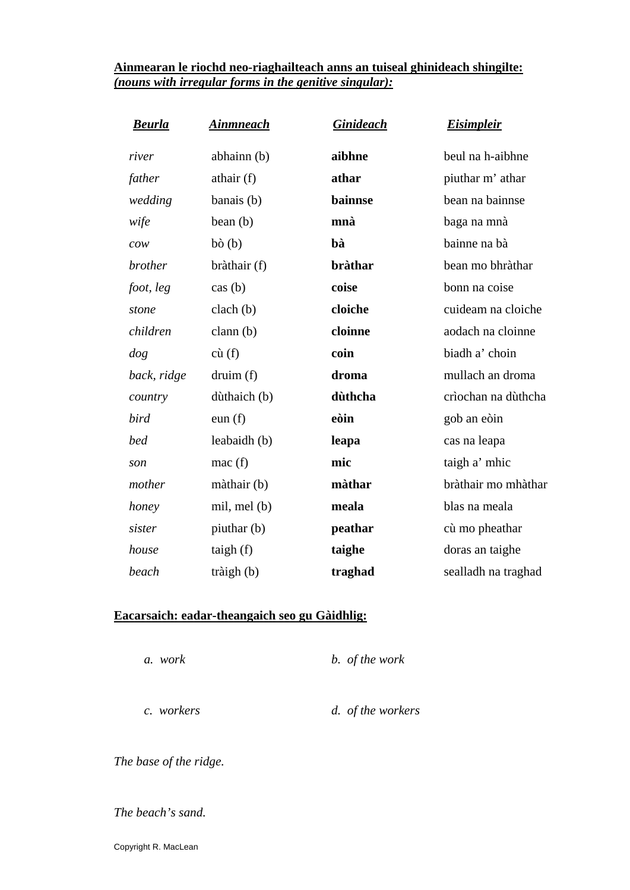#### **Ainmearan le riochd neo-riaghailteach anns an tuiseal ghinideach shingilte:** *(nouns with irregular forms in the genitive singular):*

| <b>Beurla</b>                         | <u>Ainmneach</u> | <b>Ginideach</b> | <b>Eisimpleir</b>   |
|---------------------------------------|------------------|------------------|---------------------|
| river                                 | abhainn (b)      | aibhne           | beul na h-aibhne    |
| father                                | athair $(f)$     | athar            | piuthar m' athar    |
| wedding                               | banais (b)       | bainnse          | bean na bainnse     |
| wife                                  | bean (b)         | mnà              | baga na mnà         |
| $\mathcal{C} \mathcal{O} \mathcal{W}$ | $b\delta(b)$     | bà               | bainne na bà        |
| <i>brother</i>                        | bràthair (f)     | <b>bràthar</b>   | bean mo bhràthar    |
| foot, leg                             | $\cos(b)$        | coise            | bonn na coise       |
| stone                                 | clach(b)         | cloiche          | cuideam na cloiche  |
| children                              | clann $(b)$      | cloinne          | aodach na cloinne   |
| dog                                   | $c\hat{u}(f)$    | coin             | biadh a' choin      |
| back, ridge                           | druim(f)         | droma            | mullach an droma    |
| country                               | dùthaich (b)     | dùthcha          | crìochan na dùthcha |
| bird                                  | eun(f)           | eòin             | gob an eòin         |
| bed                                   | leabaidh (b)     | leapa            | cas na leapa        |
| son                                   | mac(f)           | mic              | taigh a' mhic       |
| mother                                | màthair (b)      | màthar           | bràthair mo mhàthar |
| honey                                 | mil, mel (b)     | meala            | blas na meala       |
| sister                                | piuthar (b)      | peathar          | cù mo pheathar      |
| house                                 | taigh $(f)$      | taighe           | doras an taighe     |
| beach                                 | tràigh $(b)$     | traghad          | sealladh na traghad |

#### **Eacarsaich: eadar-theangaich seo gu Gàidhlig:**

 *a. work b. of the work* 

 *c. workers d. of the workers* 

*The base of the ridge.* 

#### *The beach's sand.*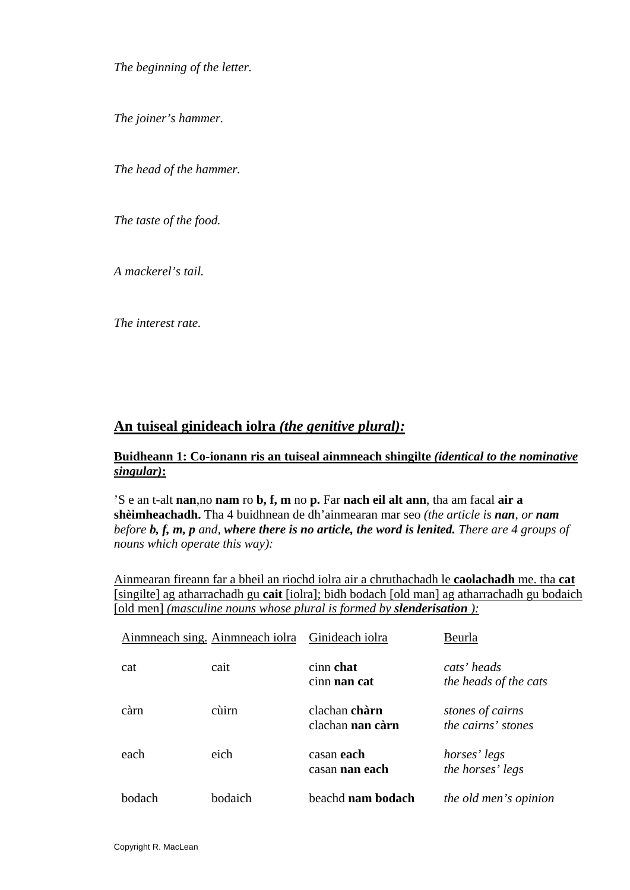*The beginning of the letter.* 

*The joiner's hammer.* 

*The head of the hammer.* 

*The taste of the food.* 

*A mackerel's tail.* 

*The interest rate.* 

### **An tuiseal ginideach iolra** *(the genitive plural):*

#### **Buidheann 1: Co-ionann ris an tuiseal ainmneach shingilte** *(identical to the nominative singular)***:**

'S e an t-alt **nan**,no **nam** ro **b, f, m** no **p.** Far **nach eil alt ann**, tha am facal **air a shèimheachadh.** Tha 4 buidhnean de dh'ainmearan mar seo *(the article is nan, or nam before b, f, m, p and, where there is no article, the word is lenited. There are 4 groups of nouns which operate this way):* 

Ainmearan fireann far a bheil an riochd iolra air a chruthachadh le **caolachadh** me. tha **cat**  [singilte] ag atharrachadh gu **cait** [iolra]; bidh bodach [old man] ag atharrachadh gu bodaich [old men] *(masculine nouns whose plural is formed by slenderisation ):*

|        | Ainmneach sing. Ainmneach iolra | Ginideach iolra                     | Beurla                                        |
|--------|---------------------------------|-------------------------------------|-----------------------------------------------|
| cat    | cait                            | cinn chat<br>cinn nan cat           | cats' heads<br>the heads of the cats          |
| càrn   | cùirn                           | clachan chàrn<br>clachan nan càrn   | stones of cairns<br><i>the cairns' stones</i> |
| each   | eich                            | casan each<br>casan <b>nan each</b> | horses' legs<br>the horses' legs              |
| bodach | hodaich                         | beachd <b>nam bodach</b>            | <i>the old men's opinion</i>                  |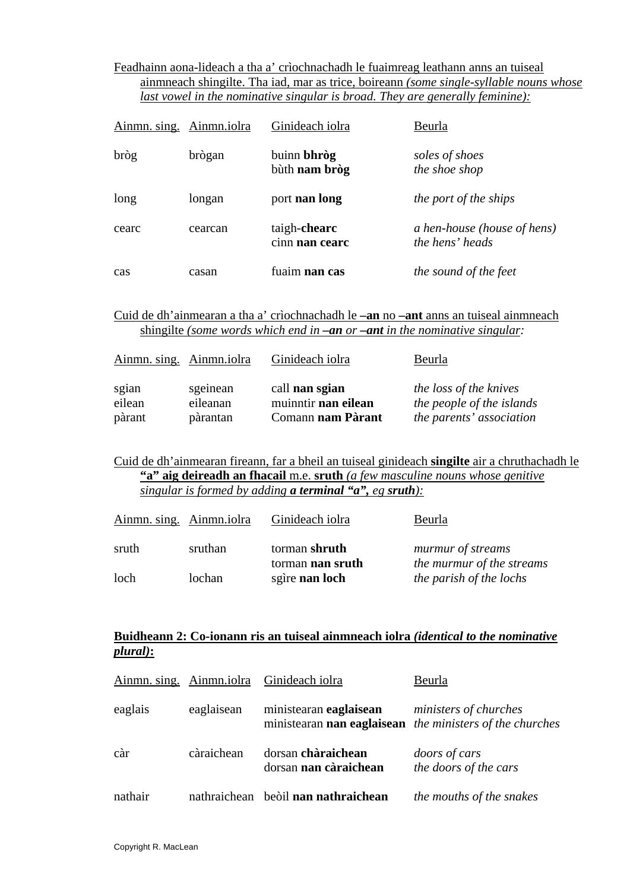#### Feadhainn aona-lideach a tha a' crìochnachadh le fuaimreag leathann anns an tuiseal ainmneach shingilte. Tha iad, mar as trice, boireann *(some single-syllable nouns whose last vowel in the nominative singular is broad. They are generally feminine):*

| Ainmn. sing. Ainmn. iolra |         | Ginideach iolra                     | Beurla                                         |
|---------------------------|---------|-------------------------------------|------------------------------------------------|
| bròg                      | brògan  | buinn <b>bhròg</b><br>bùth nam bròg | soles of shoes<br>the shoe shop                |
| long                      | longan  | port nan long                       | <i>the port of the ships</i>                   |
| cearc                     | cearcan | taigh-chearc<br>cinn nan cearc      | a hen-house (house of hens)<br>the hens' heads |
| cas                       | casan   | fuaim <b>nan cas</b>                | the sound of the feet                          |

Cuid de dh'ainmearan a tha a' crìochnachadh le **–an** no **–ant** anns an tuiseal ainmneach shingilte *(some words which end in –an or –ant in the nominative singular:* 

| Ainmn. sing. Ainmn. iolra |          | Ginideach iolra     | Beurla                        |
|---------------------------|----------|---------------------|-------------------------------|
| sgian                     | sgeinean | call nan sgian      | <i>the loss of the knives</i> |
| eilean                    | eileanan | muinntir nan eilean | the people of the islands     |
| pàrant                    | pàrantan | Comann nam Pàrant   | the parents' association      |

Cuid de dh'ainmearan fireann, far a bheil an tuiseal ginideach **singilte** air a chruthachadh le **"a" aig deireadh an fhacail** m.e. **sruth** *(a few masculine nouns whose genitive singular is formed by adding a terminal "a", eg sruth):*

| Ainmn. sing. Ainmn. iolra |         | Ginideach iolra                   | Beurla                                                |
|---------------------------|---------|-----------------------------------|-------------------------------------------------------|
| sruth                     | sruthan | torman shruth<br>torman nan sruth | <i>murmur of streams</i><br>the murmur of the streams |
| loch                      | lochan  | sgìre nan loch                    | the parish of the lochs                               |

#### **Buidheann 2: Co-ionann ris an tuiseal ainmneach iolra** *(identical to the nominative plural)***:**

|         |            | Ainmn. sing. Ainmn.iolra Ginideach iolra    | Beurla                                                                            |
|---------|------------|---------------------------------------------|-----------------------------------------------------------------------------------|
| eaglais | eaglaisean | ministearan <b>eaglaisean</b>               | ministers of churches<br>ministearan nan eaglaisean the ministers of the churches |
| càr     | càraichean | dorsan chàraichean<br>dorsan nan càraichean | doors of cars<br>the doors of the cars                                            |
| nathair |            | nathraichean beòil <b>nan nathraichean</b>  | the mouths of the snakes                                                          |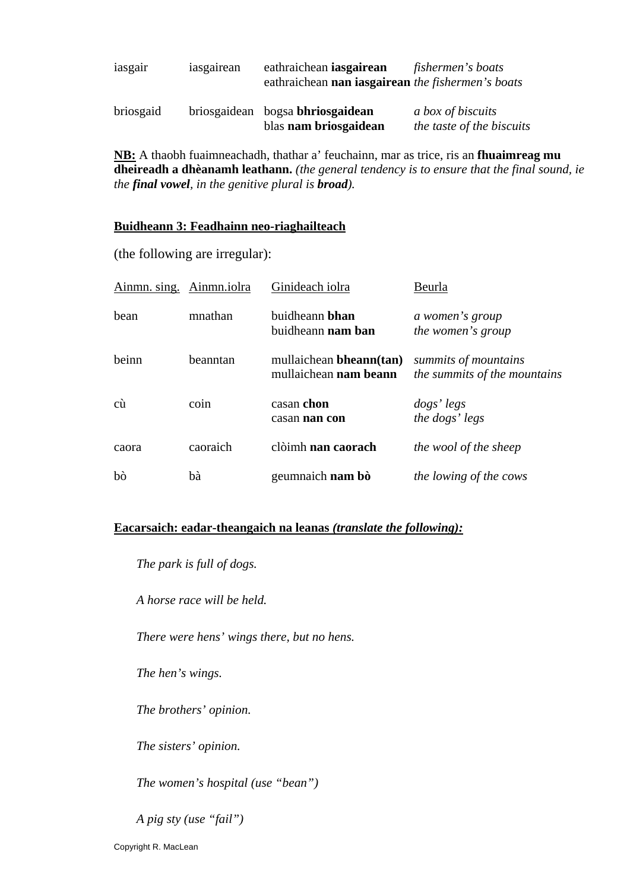| iasgair   | iasgairean | eathraichean <b>iasgairean</b><br>eathraichean nan iasgairean the fishermen's boats | fishermen's boats                                     |
|-----------|------------|-------------------------------------------------------------------------------------|-------------------------------------------------------|
| briosgaid |            | briosgaidean bogsa bhriosgaidean<br>blas nam briosgaidean                           | <i>a box of biscuits</i><br>the taste of the biscuits |

**NB:** A thaobh fuaimneachadh, thathar a' feuchainn, mar as trice, ris an **fhuaimreag mu dheireadh a dhèanamh leathann.** *(the general tendency is to ensure that the final sound, ie the final vowel, in the genitive plural is broad).* 

#### **Buidheann 3: Feadhainn neo-riaghailteach**

(the following are irregular):

| Ainmn. sing. | Ainmn.iolra | Ginideach iolra                                         | Beurla                                               |
|--------------|-------------|---------------------------------------------------------|------------------------------------------------------|
| bean         | mnathan     | buidheann <b>bhan</b><br>buidheann <b>nam ban</b>       | a women's group<br><i>the women's group</i>          |
| beinn        | beanntan    | mullaichean bheann(tan)<br>mullaichean <b>nam beann</b> | summits of mountains<br>the summits of the mountains |
| cù           | coin        | casan chon<br>casan nan con                             | dogs' legs<br>the dogs' legs                         |
| caora        | caoraich    | clòimh nan caorach                                      | the wool of the sheep                                |
| bò           | bà          | geumnaich nam bò                                        | the lowing of the cows                               |

#### **Eacarsaich: eadar-theangaich na leanas** *(translate the following):*

*The park is full of dogs.* 

*A horse race will be held.* 

*There were hens' wings there, but no hens.* 

*The hen's wings.* 

*The brothers' opinion.* 

*The sisters' opinion.* 

*The women's hospital (use "bean")* 

*A pig sty (use "fail")*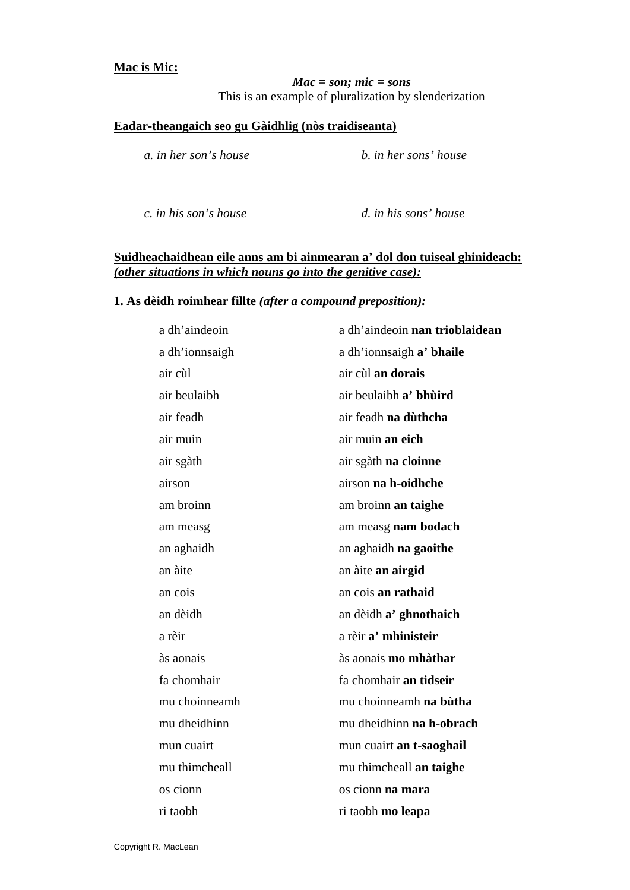#### **Mac is Mic:**

*Mac = son; mic = sons*  This is an example of pluralization by slenderization

#### **Eadar-theangaich seo gu Gàidhlig (nòs traidiseanta)**

 *a. in her son's house b. in her sons' house* 

 *c. in his son's house d. in his sons' house* 

#### **Suidheachaidhean eile anns am bi ainmearan a' dol don tuiseal ghinideach:** *(other situations in which nouns go into the genitive case):*

#### **1. As dèidh roimhear fillte** *(after a compound preposition):*

| a dh'aindeoin  | a dh'aindeoin nan trioblaidean |
|----------------|--------------------------------|
| a dh'ionnsaigh | a dh'ionnsaigh a' bhaile       |
| air cùl        | air cùl an dorais              |
| air beulaibh   | air beulaibh a' bhùird         |
| air feadh      | air feadh na dùthcha           |
| air muin       | air muin an eich               |
| air sgàth      | air sgàth na cloinne           |
| airson         | airson na h-oidhche            |
| am broinn      | am broinn an taighe            |
| am measg       | am measg nam bodach            |
| an aghaidh     | an aghaidh na gaoithe          |
| an àite        | an àite an airgid              |
| an cois        | an cois an rathaid             |
| an dèidh       | an dèidh a' ghnothaich         |
| a rèir         | a rèir a' mhinisteir           |
| às aonais      | às aonais mo mhàthar           |
| fa chomhair    | fa chomhair an tidseir         |
| mu choinneamh  | mu choinneamh na bùtha         |
| mu dheidhinn   | mu dheidhinn na h-obrach       |
| mun cuairt     | mun cuairt an t-saoghail       |
| mu thimcheall  | mu thimcheall an taighe        |
| os cionn       | os cionn na mara               |
| ri taobh       | ri taobh mo leapa              |
|                |                                |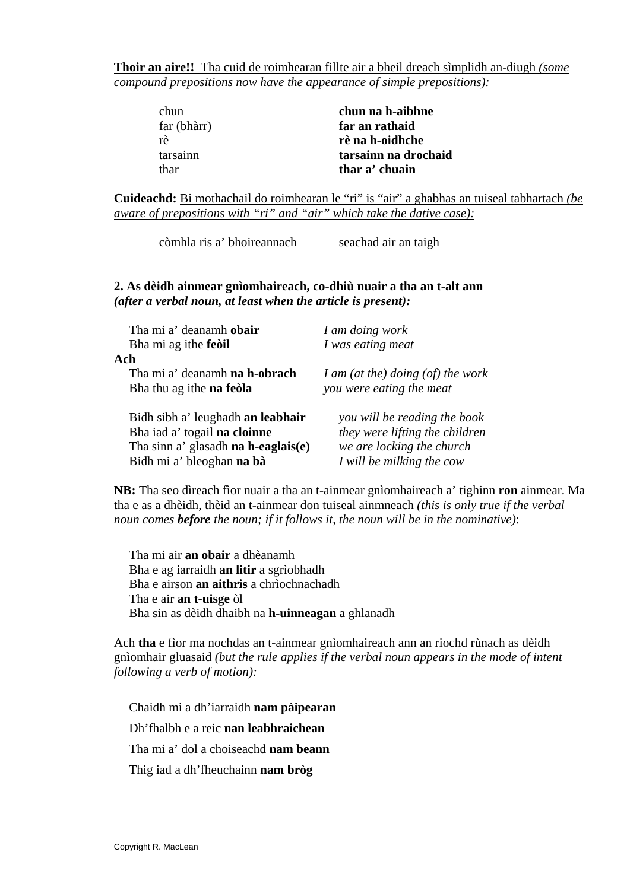**Thoir an aire!!** Tha cuid de roimhearan fillte air a bheil dreach sìmplidh an-diugh *(some compound prepositions now have the appearance of simple prepositions):*

| chun        | chun na h-aibhne     |
|-------------|----------------------|
| far (bhàrr) | far an rathaid       |
| rè          | rè na h-oidhche      |
| tarsainn    | tarsainn na drochaid |
| thar        | thar a' chuain       |

**Cuideachd:** Bi mothachail do roimhearan le "ri" is "air" a ghabhas an tuiseal tabhartach *(be aware of prepositions with "ri" and "air" which take the dative case):*

còmhla ris a' bhoireannach seachad air an taigh

#### **2. As dèidh ainmear gnìomhaireach, co-dhiù nuair a tha an t-alt ann**  *(after a verbal noun, at least when the article is present):*

| Tha mi a' deanamh obair<br>Bha mi ag ithe feoil | I am doing work<br>I was eating meat |
|-------------------------------------------------|--------------------------------------|
| Ach                                             |                                      |
| Tha mi a' deanamh na h-obrach                   | I am (at the) doing $(of)$ the work  |
| Bha thu ag ithe <b>na feola</b>                 | you were eating the meat             |
| Bidh sibh a' leughadh an leabhair               | you will be reading the book         |
| Bha iad a' togail na cloinne                    | they were lifting the children       |
| Tha sinn a' glasadh na h-eaglais(e)             | we are locking the church            |
| Bidh mi a' bleoghan na bà                       | I will be milking the cow            |

**NB:** Tha seo dìreach fìor nuair a tha an t-ainmear gnìomhaireach a' tighinn **ron** ainmear. Ma tha e as a dhèidh, thèid an t-ainmear don tuiseal ainmneach *(this is only true if the verbal noun comes before the noun; if it follows it, the noun will be in the nominative)*:

Tha mi air **an obair** a dhèanamh Bha e ag iarraidh **an litir** a sgrìobhadh Bha e airson **an aithris** a chrìochnachadh Tha e air **an t-uisge** òl Bha sin as dèidh dhaibh na **h-uinneagan** a ghlanadh

Ach **tha** e fìor ma nochdas an t-ainmear gnìomhaireach ann an riochd rùnach as dèidh gnìomhair gluasaid *(but the rule applies if the verbal noun appears in the mode of intent following a verb of motion):* 

Chaidh mi a dh'iarraidh **nam pàipearan** Dh'fhalbh e a reic **nan leabhraichean** Tha mi a' dol a choiseachd **nam beann**  Thig iad a dh'fheuchainn **nam bròg**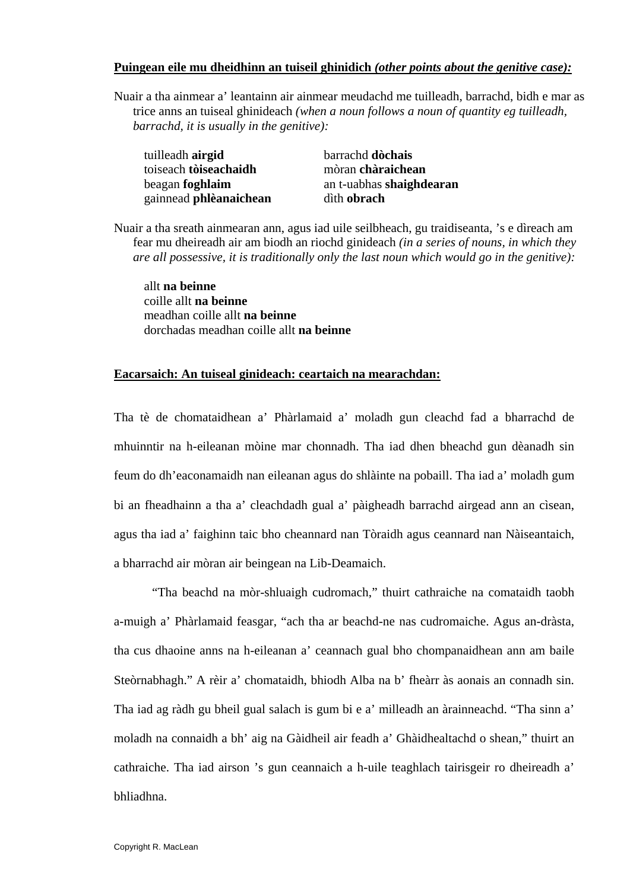#### **Puingean eile mu dheidhinn an tuiseil ghinidich** *(other points about the genitive case):*

Nuair a tha ainmear a' leantainn air ainmear meudachd me tuilleadh, barrachd, bidh e mar as trice anns an tuiseal ghinideach *(when a noun follows a noun of quantity eg tuilleadh, barrachd, it is usually in the genitive):* 

| tuilleadh <b>airgid</b> | barrachd dòchais         |
|-------------------------|--------------------------|
| toiseach tòiseachaidh   | mòran chàraichean        |
| beagan <b>foghlaim</b>  | an t-uabhas shaighdearan |
| gainnead phlèanaichean  | dìth obrach              |

Nuair a tha sreath ainmearan ann, agus iad uile seilbheach, gu traidiseanta, 's e dìreach am fear mu dheireadh air am biodh an riochd ginideach *(in a series of nouns, in which they are all possessive, it is traditionally only the last noun which would go in the genitive):*

allt **na beinne** coille allt **na beinne** meadhan coille allt **na beinne** dorchadas meadhan coille allt **na beinne** 

#### **Eacarsaich: An tuiseal ginideach: ceartaich na mearachdan:**

Tha tè de chomataidhean a' Phàrlamaid a' moladh gun cleachd fad a bharrachd de mhuinntir na h-eileanan mòine mar chonnadh. Tha iad dhen bheachd gun dèanadh sin feum do dh'eaconamaidh nan eileanan agus do shlàinte na pobaill. Tha iad a' moladh gum bi an fheadhainn a tha a' cleachdadh gual a' pàigheadh barrachd airgead ann an cìsean, agus tha iad a' faighinn taic bho cheannard nan Tòraidh agus ceannard nan Nàiseantaich, a bharrachd air mòran air beingean na Lib-Deamaich.

"Tha beachd na mòr-shluaigh cudromach," thuirt cathraiche na comataidh taobh a-muigh a' Phàrlamaid feasgar, "ach tha ar beachd-ne nas cudromaiche. Agus an-dràsta, tha cus dhaoine anns na h-eileanan a' ceannach gual bho chompanaidhean ann am baile Steòrnabhagh." A rèir a' chomataidh, bhiodh Alba na b' fheàrr às aonais an connadh sin. Tha iad ag ràdh gu bheil gual salach is gum bi e a' milleadh an àrainneachd. "Tha sinn a' moladh na connaidh a bh' aig na Gàidheil air feadh a' Ghàidhealtachd o shean," thuirt an cathraiche. Tha iad airson 's gun ceannaich a h-uile teaghlach tairisgeir ro dheireadh a' bhliadhna.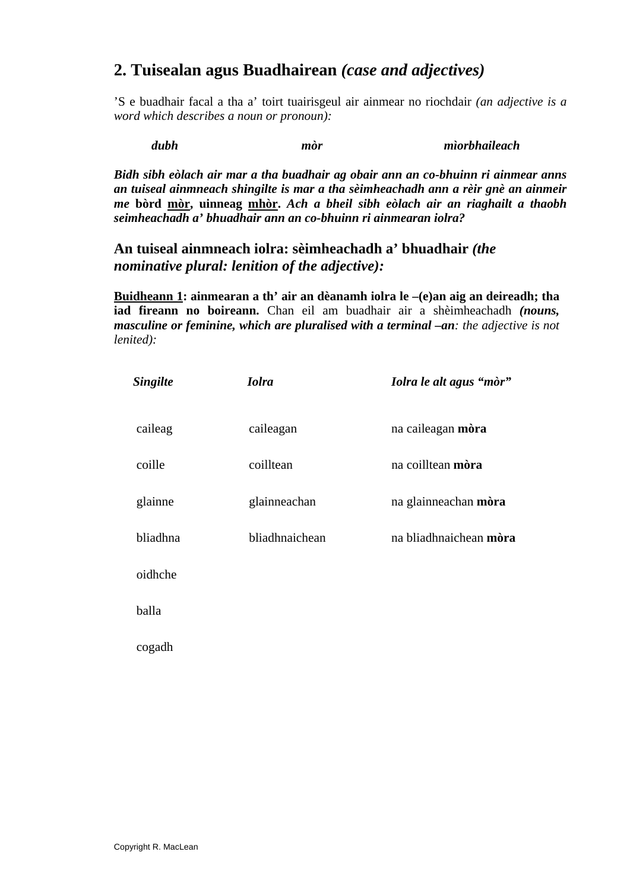## **2. Tuisealan agus Buadhairean** *(case and adjectives)*

'S e buadhair facal a tha a' toirt tuairisgeul air ainmear no riochdair *(an adjective is a word which describes a noun or pronoun):* 

*dubh mòr mìorbhaileach* 

*Bidh sibh eòlach air mar a tha buadhair ag obair ann an co-bhuinn ri ainmear anns an tuiseal ainmneach shingilte is mar a tha sèimheachadh ann a rèir gnè an ainmeir me* **bòrd mòr, uinneag mhòr.** *Ach a bheil sibh eòlach air an riaghailt a thaobh seimheachadh a' bhuadhair ann an co-bhuinn ri ainmearan iolra?* 

### **An tuiseal ainmneach iolra: sèimheachadh a' bhuadhair** *(the nominative plural: lenition of the adjective):*

**Buidheann 1: ainmearan a th' air an dèanamh iolra le –(e)an aig an deireadh; tha iad fireann no boireann.** Chan eil am buadhair air a shèimheachadh *(nouns, masculine or feminine, which are pluralised with a terminal –an: the adjective is not lenited):*

| <b>Singilte</b> | <b><i><u>Iolra</u></i></b> | Iolra le alt agus "mòr" |
|-----------------|----------------------------|-------------------------|
| caileag         | caileagan                  | na caileagan mòra       |
| coille          | coilltean                  | na coilltean mòra       |
| glainne         | glainneachan               | na glainneachan mòra    |
| bliadhna        | bliadhnaichean             | na bliadhnaichean mòra  |
| oidhche         |                            |                         |
| balla           |                            |                         |
| cogadh          |                            |                         |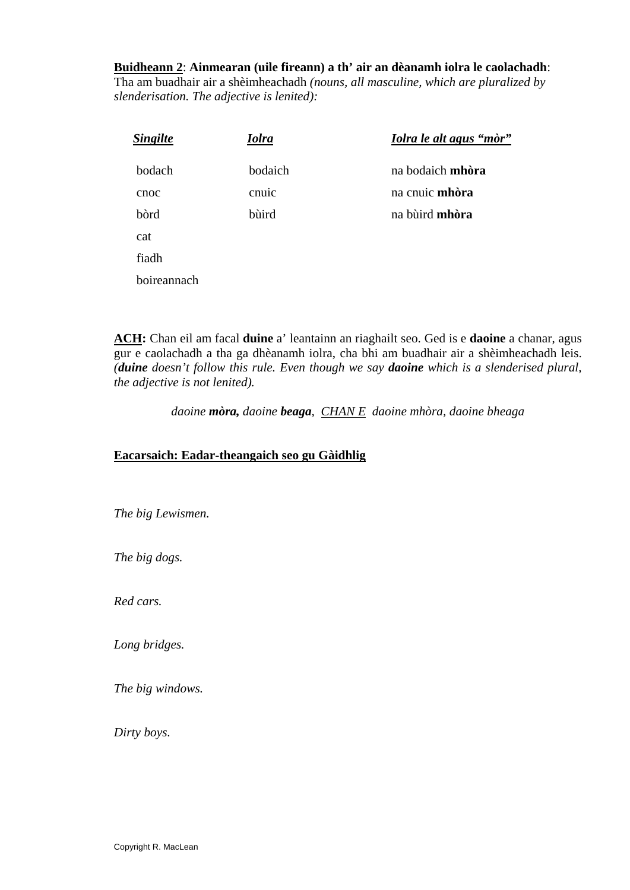#### **Buidheann 2**: **Ainmearan (uile fireann) a th' air an dèanamh iolra le caolachadh**:

Tha am buadhair air a shèimheachadh *(nouns, all masculine, which are pluralized by slenderisation. The adjective is lenited):* 

| <b>Singilte</b> | <b>Iolra</b> | Iolra le alt agus "mòr" |
|-----------------|--------------|-------------------------|
| bodach          | bodaich      | na bodaich mhòra        |
| cnoc            | cnuic        | na cnuic <b>mhòra</b>   |
| bòrd            | bùird        | na bùird <b>mhòra</b>   |
| cat             |              |                         |
| fiadh           |              |                         |
| boireannach     |              |                         |
|                 |              |                         |

**ACH:** Chan eil am facal **duine** a' leantainn an riaghailt seo. Ged is e **daoine** a chanar, agus gur e caolachadh a tha ga dhèanamh iolra, cha bhi am buadhair air a shèimheachadh leis. *(duine doesn't follow this rule. Even though we say daoine which is a slenderised plural, the adjective is not lenited).* 

*daoine mòra, daoine beaga, CHAN E daoine mhòra, daoine bheaga* 

#### **Eacarsaich: Eadar-theangaich seo gu Gàidhlig**

*The big Lewismen.* 

*The big dogs.* 

*Red cars.* 

*Long bridges.* 

*The big windows.* 

*Dirty boys.*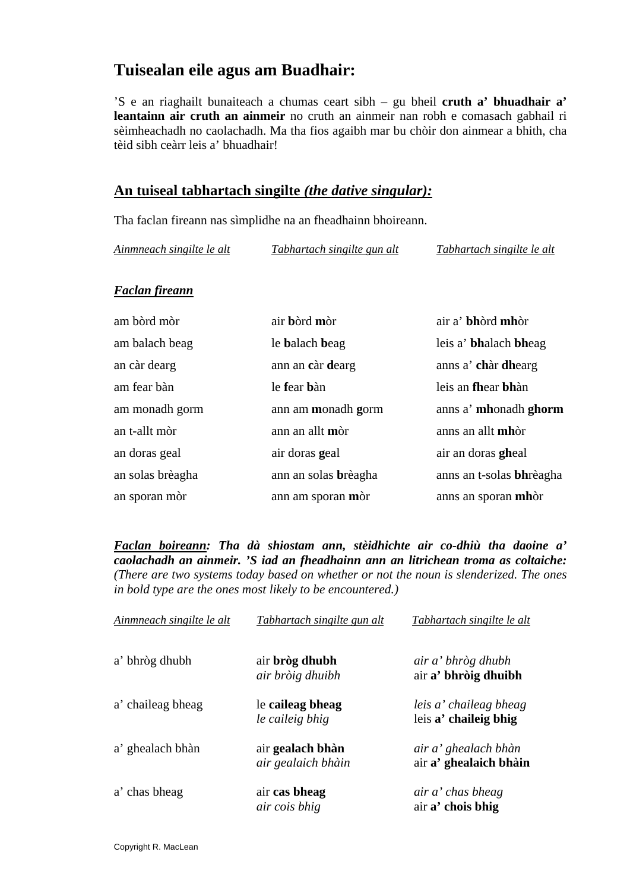## **Tuisealan eile agus am Buadhair:**

'S e an riaghailt bunaiteach a chumas ceart sibh – gu bheil **cruth a' bhuadhair a' leantainn air cruth an ainmeir** no cruth an ainmeir nan robh e comasach gabhail ri sèimheachadh no caolachadh. Ma tha fios agaibh mar bu chòir don ainmear a bhith, cha tèid sibh ceàrr leis a' bhuadhair!

#### **An tuiseal tabhartach singilte** *(the dative singular):*

Tha faclan fireann nas sìmplidhe na an fheadhainn bhoireann.

*Ainmneach singilte le alt Tabhartach singilte gun alt Tabhartach singilte le alt*

#### *Faclan fireann*

| am bòrd mòr      | air bòrd mòr         | air a' bhòrd mhòr        |
|------------------|----------------------|--------------------------|
| am balach beag   | le balach beag       | leis a' bhalach bheag    |
| an càr dearg     | ann an càr dearg     | anns a' chàr dhearg      |
| am fear bàn      | le fear bàn          | leis an fhear bhàn       |
| am monadh gorm   | ann am monadh gorm   | anns a' mhonadh ghorm    |
| an t-allt mòr    | ann an allt mòr      | anns an allt mhòr        |
| an doras geal    | air doras geal       | air an doras gheal       |
| an solas brèagha | ann an solas brèagha | anns an t-solas bhrèagha |
| an sporan mòr    | ann am sporan mòr    | anns an sporan mhòr      |

*Faclan boireann: Tha dà shiostam ann, stèidhichte air co-dhiù tha daoine a' caolachadh an ainmeir. 'S iad an fheadhainn ann an litrichean troma as coltaiche: (There are two systems today based on whether or not the noun is slenderized. The ones in bold type are the ones most likely to be encountered.)* 

| Ainmneach singilte le alt | Tabhartach singilte gun alt            | Tabhartach singilte le alt                      |
|---------------------------|----------------------------------------|-------------------------------------------------|
| a' bhròg dhubh            | air bròg dhubh<br>air bròig dhuibh     | air a' bhròg dhubh<br>air a' bhròig dhuibh      |
| a' chaileag bheag         | le caileag bheag<br>le caileig bhig    | leis a' chaileag bheag<br>leis a' chaileig bhig |
| a' ghealach bhàn          | air gealach bhàn<br>air gealaich bhàin | air a' ghealach bhàn<br>air a' ghealaich bhàin  |
| a' chas bheag             | air cas bheag<br>air cois bhig         | air a' chas bheag<br>air a' chois bhig          |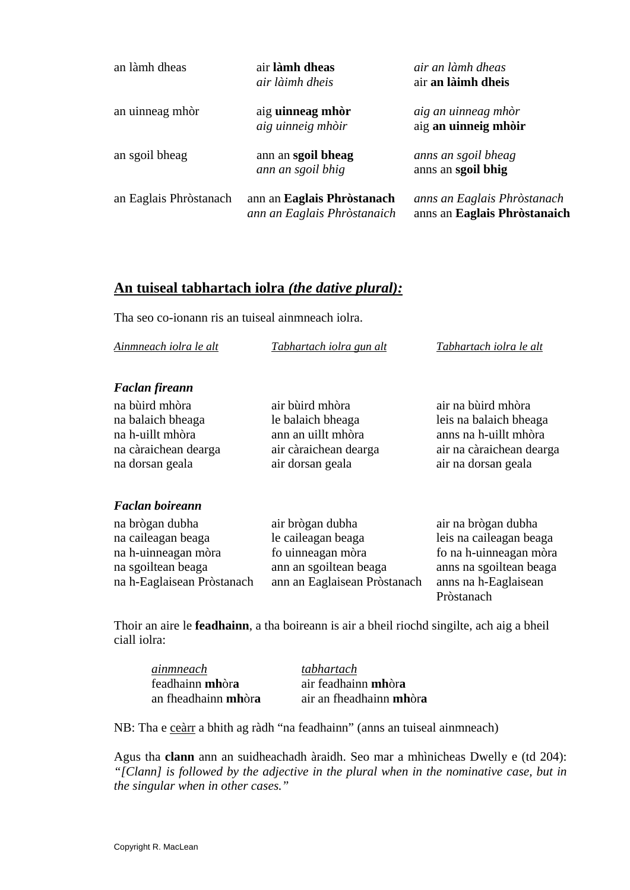| an làmh dheas          | air làmh dheas<br>air làimh dheis                         | air an làmh dheas<br>air an làimh dheis                     |
|------------------------|-----------------------------------------------------------|-------------------------------------------------------------|
| an uinneag mhòr        | aig uinneag mhòr<br>aig uinneig mhòir                     | aig an uinneag mhòr<br>aig an uinneig mhòir                 |
| an sgoil bheag         | ann an sgoil bheag<br>ann an sgoil bhig                   | anns an sgoil bheag<br>anns an sgoil bhig                   |
| an Eaglais Phròstanach | ann an Eaglais Phròstanach<br>ann an Eaglais Phròstanaich | anns an Eaglais Phròstanach<br>anns an Eaglais Phròstanaich |

### **An tuiseal tabhartach iolra** *(the dative plural):*

Tha seo co-ionann ris an tuiseal ainmneach iolra.

| Ainmneach iolra le alt | Tabhartach iolra gun alt | Tabhartach iolra le alt |
|------------------------|--------------------------|-------------------------|
|------------------------|--------------------------|-------------------------|

#### *Faclan fireann*

| na bùird mhòra       | air bùird mhòra       | air na bùird mhòra       |
|----------------------|-----------------------|--------------------------|
| na balaich bheaga    | le balaich bheaga     | leis na balaich bheaga   |
| na h-uillt mhòra     | ann an uillt mhòra    | anns na h-uillt mhòra    |
| na càraichean dearga | air càraichean dearga | air na càraichean dearga |
| na dorsan geala      | air dorsan geala      | air na dorsan geala      |

#### *Faclan boireann*

| na brògan dubha            | air brògan dubha             | air na brògan dubha     |
|----------------------------|------------------------------|-------------------------|
| na caileagan beaga         | le caileagan beaga           | leis na caileagan beaga |
| na h-uinneagan mòra        | fo uinneagan mòra            | fo na h-uinneagan mòra  |
| na sgoiltean beaga         | ann an sgoiltean beaga       | anns na sgoiltean beaga |
| na h-Eaglaisean Pròstanach | ann an Eaglaisean Pròstanach | anns na h-Eaglaisean    |
|                            |                              | Pròstanach              |

Thoir an aire le **feadhainn**, a tha boireann is air a bheil riochd singilte, ach aig a bheil ciall iolra:

*ainmneach tabhartach* feadhainn **mh**òr**a** air feadhainn **mh**òr**a**

an fheadhainn **mh**òr**a** air an fheadhainn **mh**òr**a**

NB: Tha e ceàrr a bhith ag ràdh "na feadhainn" (anns an tuiseal ainmneach)

Agus tha **clann** ann an suidheachadh àraidh. Seo mar a mhìnicheas Dwelly e (td 204): *"[Clann] is followed by the adjective in the plural when in the nominative case, but in the singular when in other cases."*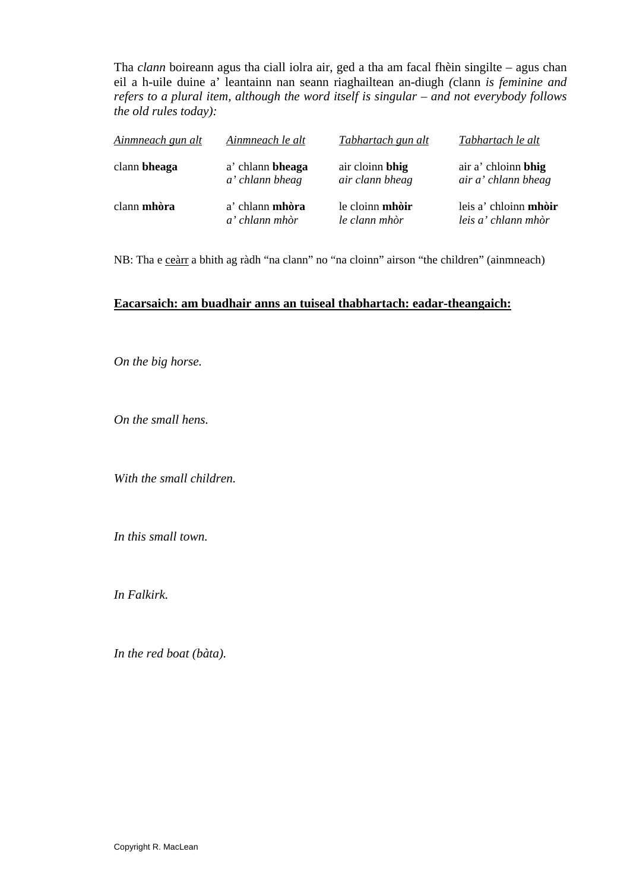Tha *clann* boireann agus tha ciall iolra air, ged a tha am facal fhèin singilte – agus chan eil a h-uile duine a' leantainn nan seann riaghailtean an-diugh *(*clann *is feminine and refers to a plural item, although the word itself is singular – and not everybody follows the old rules today):* 

| Ainmneach gun alt | Ainmneach le alt       | Tabhartach gun alt     | Tabhartach le alt            |
|-------------------|------------------------|------------------------|------------------------------|
| clann bheaga      | a' chlann bheaga       | air cloinn bhig        | air a' chloinn bhig          |
|                   | a' chlann bheag        | air clann bheag        | air a' chlann bheag          |
| clann mhòra       | a' chlann <b>mhòra</b> | le cloinn <b>mhòir</b> | leis a' chloinn <b>mhòir</b> |
|                   | a' chlann mhòr         | le clann mhòr          | leis a' chlann mhòr          |

NB: Tha e ceàrr a bhith ag ràdh "na clann" no "na cloinn" airson "the children" (ainmneach)

#### **Eacarsaich: am buadhair anns an tuiseal thabhartach: eadar-theangaich:**

*On the big horse.* 

*On the small hens.* 

*With the small children.* 

*In this small town.* 

*In Falkirk.* 

*In the red boat (bàta).*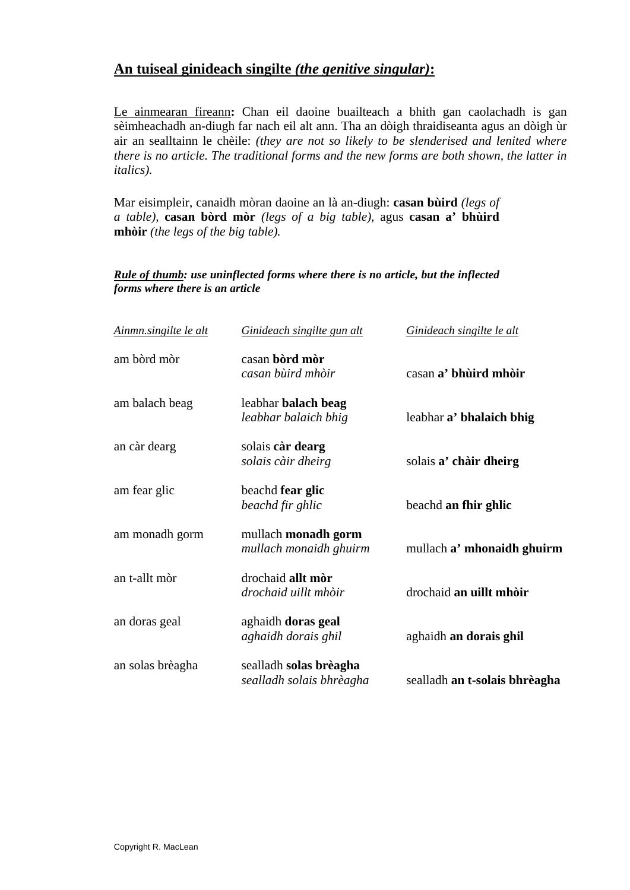### **An tuiseal ginideach singilte** *(the genitive singular)***:**

Le ainmearan fireann**:** Chan eil daoine buailteach a bhith gan caolachadh is gan sèimheachadh an-diugh far nach eil alt ann. Tha an dòigh thraidiseanta agus an dòigh ùr air an sealltainn le chèile: *(they are not so likely to be slenderised and lenited where there is no article. The traditional forms and the new forms are both shown, the latter in italics).* 

Mar eisimpleir, canaidh mòran daoine an là an-diugh: **casan bùird** *(legs of a table),* **casan bòrd mòr** *(legs of a big table),* agus **casan a' bhùird mhòir** *(the legs of the big table).* 

#### *Rule of thumb: use uninflected forms where there is no article, but the inflected forms where there is an article*

| Ainmn.singilte le alt | Ginideach singilte gun alt                         | Ginideach singilte le alt     |
|-----------------------|----------------------------------------------------|-------------------------------|
| am bòrd mòr           | casan bòrd mòr<br>casan bùird mhòir                | casan a' bhùird mhòir         |
| am balach beag        | leabhar balach beag<br>leabhar balaich bhig        | leabhar a' bhalaich bhig      |
| an càr dearg          | solais càr dearg<br>solais càir dheirg             | solais a' chàir dheirg        |
| am fear glic          | beachd fear glic<br>beachd fir ghlic               | beachd an fhir ghlic          |
| am monadh gorm        | mullach monadh gorm<br>mullach monaidh ghuirm      | mullach a' mhonaidh ghuirm    |
| an t-allt mòr         | drochaid allt mòr<br>drochaid uillt mhòir          | drochaid an uillt mhòir       |
| an doras geal         | aghaidh doras geal<br>aghaidh dorais ghil          | aghaidh an dorais ghil        |
| an solas brèagha      | sealladh solas brèagha<br>sealladh solais bhrèagha | sealladh an t-solais bhrèagha |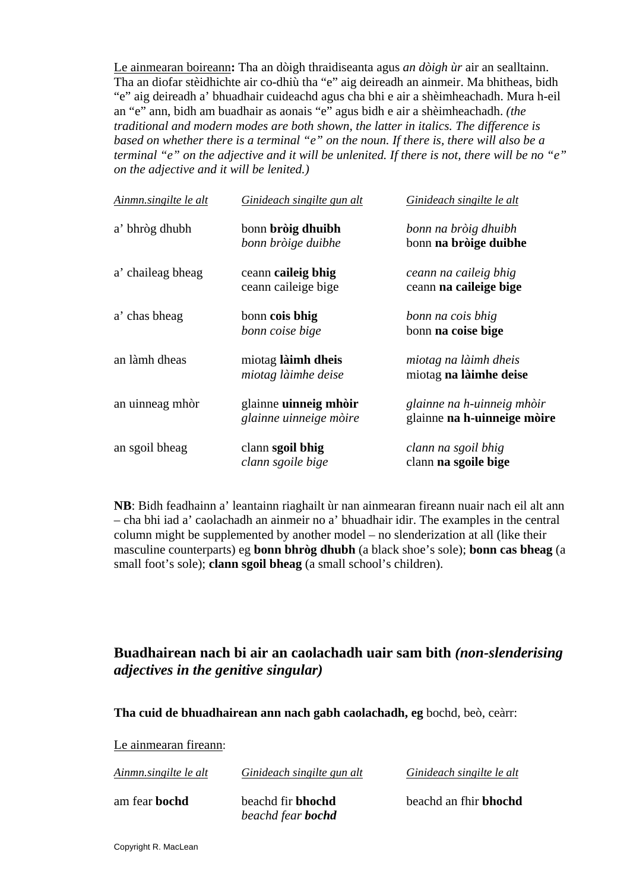Le ainmearan boireann**:** Tha an dòigh thraidiseanta agus *an dòigh ùr* air an sealltainn. Tha an diofar stèidhichte air co-dhiù tha "e" aig deireadh an ainmeir. Ma bhitheas, bidh "e" aig deireadh a' bhuadhair cuideachd agus cha bhi e air a shèimheachadh. Mura h-eil an "e" ann, bidh am buadhair as aonais "e" agus bidh e air a shèimheachadh. *(the traditional and modern modes are both shown, the latter in italics. The difference is based on whether there is a terminal "e" on the noun. If there is, there will also be a terminal "e" on the adjective and it will be unlenited. If there is not, there will be no "e" on the adjective and it will be lenited.)* 

| Ainmn.singilte le alt | Ginideach singilte gun alt                      | Ginideach singilte le alt                                 |
|-----------------------|-------------------------------------------------|-----------------------------------------------------------|
| a' bhròg dhubh        | bonn bròig dhuibh<br>bonn bròige duibhe         | bonn na bròig dhuibh<br>bonn na bròige duibhe             |
| a' chaileag bheag     | ceann caileig bhig<br>ceann caileige bige       | ceann na caileig bhig<br>ceann na caileige bige           |
| a' chas bheag         | bonn cois bhig<br>bonn coise bige               | bonn na cois bhig<br>bonn na coise bige                   |
| an làmh dheas         | miotag làimh dheis<br>miotag làimhe deise       | miotag na làimh dheis<br>miotag na làimhe deise           |
| an uinneag mhòr       | glainne uinneig mhòir<br>glainne uinneige mòire | glainne na h-uinneig mhòir<br>glainne na h-uinneige mòire |
| an sgoil bheag        | clann sgoil bhig<br>clann sgoile bige           | clann na sgoil bhig<br>clann na sgoile bige               |

**NB**: Bidh feadhainn a' leantainn riaghailt ùr nan ainmearan fireann nuair nach eil alt ann – cha bhi iad a' caolachadh an ainmeir no a' bhuadhair idir. The examples in the central column might be supplemented by another model – no slenderization at all (like their masculine counterparts) eg **bonn bhròg dhubh** (a black shoe's sole); **bonn cas bheag** (a small foot's sole); **clann sgoil bheag** (a small school's children).

### **Buadhairean nach bi air an caolachadh uair sam bith** *(non-slenderising adjectives in the genitive singular)*

**Tha cuid de bhuadhairean ann nach gabh caolachadh, eg** bochd, beò, ceàrr:

Le ainmearan fireann:

| Ainmn.singilte le alt | Ginideach singilte gun alt                           | Ginideach singilte le alt    |
|-----------------------|------------------------------------------------------|------------------------------|
| am fear <b>bochd</b>  | beachd fir <b>bhochd</b><br>beachd fear <b>bochd</b> | beachd an fhir <b>bhochd</b> |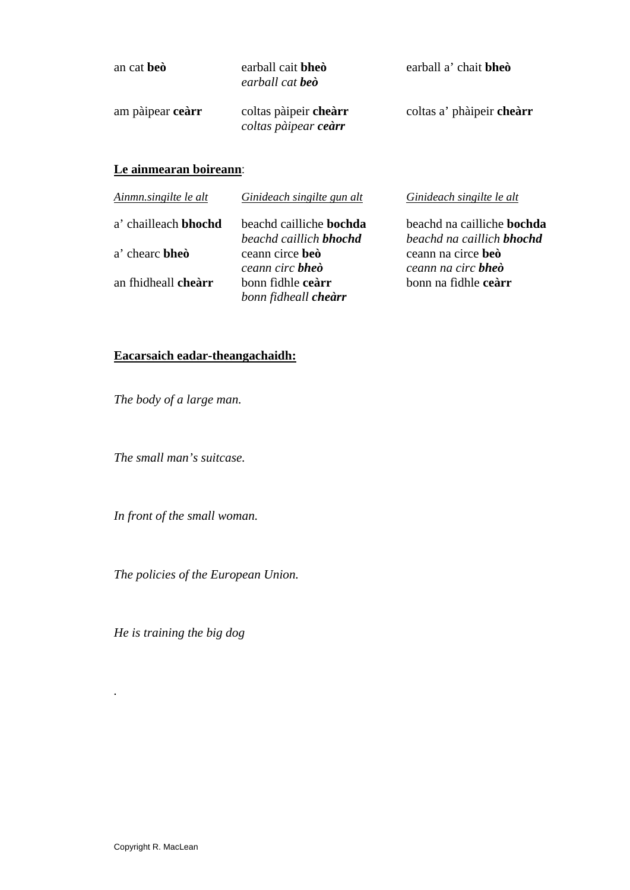| an cat beò       | earball cait bheò<br>earball cat <b>beò</b>   | earball a' chait bheò     |
|------------------|-----------------------------------------------|---------------------------|
| am pàipear ceàrr | coltas pàipeir chearr<br>coltas pàipear ceàrr | coltas a' phàipeir chearr |
|                  |                                               |                           |

#### **Le ainmearan boireann**:

| Ainmn.singilte le alt | Ginideach singilte gun alt     | Ginideach singilte le alt         |
|-----------------------|--------------------------------|-----------------------------------|
| a' chailleach bhochd  | beachd cailliche <b>bochda</b> | beachd na cailliche <b>bochda</b> |
|                       | beachd caillich <b>bhochd</b>  | beachd na caillich <b>bhochd</b>  |
| a' chearc <b>bheo</b> | ceann circe beò                | ceann na circe beò                |
|                       | ceann circ <b>bheò</b>         | ceann na circ bheò                |
| an fhidheall cheàrr   | bonn fidhle ceàrr              | bonn na fidhle ceàrr              |
|                       | bonn fidheall <b>cheàrr</b>    |                                   |

# **Eacarsaich eadar-theangachaidh:**

*The body of a large man.* 

*The small man's suitcase.* 

*In front of the small woman.* 

*The policies of the European Union.* 

*He is training the big dog* 

*.*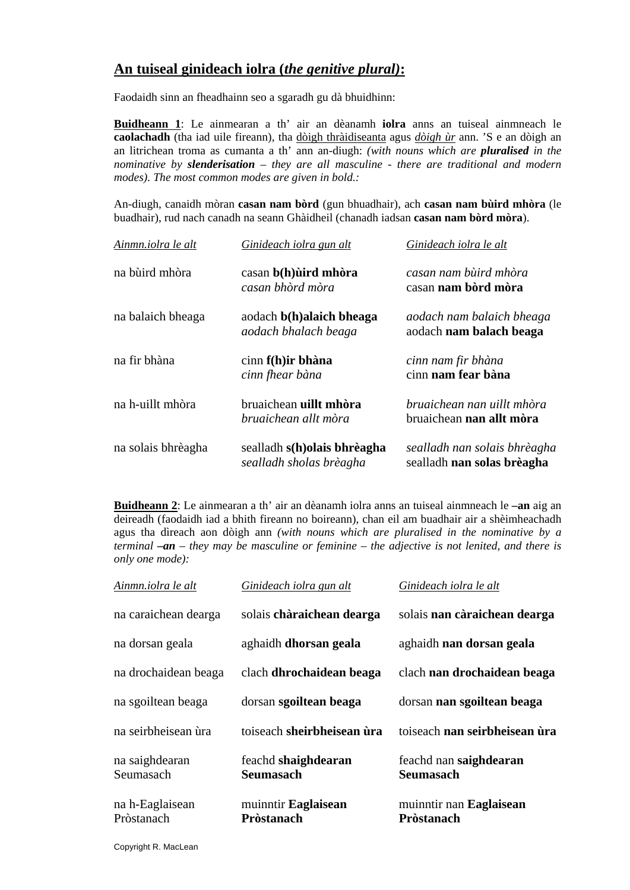### **An tuiseal ginideach iolra (***the genitive plural)***:**

Faodaidh sinn an fheadhainn seo a sgaradh gu dà bhuidhinn:

**Buidheann 1**: Le ainmearan a th' air an dèanamh **iolra** anns an tuiseal ainmneach le **caolachadh** (tha iad uile fireann), tha dòigh thràidiseanta agus *dòigh ùr* ann. 'S e an dòigh an an litrichean troma as cumanta a th' ann an-diugh: *(with nouns which are pluralised in the nominative by slenderisation – they are all masculine - there are traditional and modern modes). The most common modes are given in bold.:* 

An-diugh, canaidh mòran **casan nam bòrd** (gun bhuadhair), ach **casan nam bùird mhòra** (le buadhair), rud nach canadh na seann Ghàidheil (chanadh iadsan **casan nam bòrd mòra**).

| Ainmn.iolra le alt | Ginideach iolra gun alt                                | Ginideach iolra le alt                                     |
|--------------------|--------------------------------------------------------|------------------------------------------------------------|
| na bùird mhòra     | casan b(h) uird mhòra<br>casan bhòrd mòra              | casan nam bùird mhòra<br>casan nam bòrd mòra               |
| na balaich bheaga  | aodach b(h)alaich bheaga<br>aodach bhalach beaga       | aodach nam balaich bheaga<br>aodach nam balach beaga       |
| na fir bhàna       | $cinn f(h)$ ir bhàna<br>cinn fhear bàna                | cinn nam fir bhàna<br>cinn nam fear bàna                   |
| na h-uillt mhòra   | bruaichean uillt mhòra<br>bruaichean allt mòra         | bruaichean nan uillt mhòra<br>bruaichean nan allt mòra     |
| na solais bhrèagha | sealladh s(h)olais bhrèagha<br>sealladh sholas brèagha | sealladh nan solais bhrèagha<br>sealladh nan solas brèagha |

**Buidheann 2**: Le ainmearan a th' air an dèanamh iolra anns an tuiseal ainmneach le **–an** aig an deireadh (faodaidh iad a bhith fireann no boireann), chan eil am buadhair air a shèimheachadh agus tha dìreach aon dòigh ann *(with nouns which are pluralised in the nominative by a terminal –an – they may be masculine or feminine – the adjective is not lenited, and there is only one mode):* 

| Ainmn.iolra le alt            | Ginideach iolra gun alt                  | Ginideach iolra le alt                       |
|-------------------------------|------------------------------------------|----------------------------------------------|
| na caraichean dearga          | solais chàraichean dearga                | solais nan càraichean dearga                 |
| na dorsan geala               | aghaidh dhorsan geala                    | aghaidh nan dorsan geala                     |
| na drochaidean beaga          | clach dhrochaidean beaga                 | clach nan drochaidean beaga                  |
| na sgoiltean beaga            | dorsan sgoiltean beaga                   | dorsan nan sgoiltean beaga                   |
| na seirbheisean ùra           | toiseach sheirbheisean ùra               | toiseach nan seirbheisean ùra                |
| na saighdearan<br>Seumasach   | feachd shaighdearan<br><b>Seumasach</b>  | feachd nan saighdearan<br><b>Seumasach</b>   |
| na h-Eaglaisean<br>Pròstanach | muinntir Eaglaisean<br><b>Pròstanach</b> | muinntir nan Eaglaisean<br><b>Pròstanach</b> |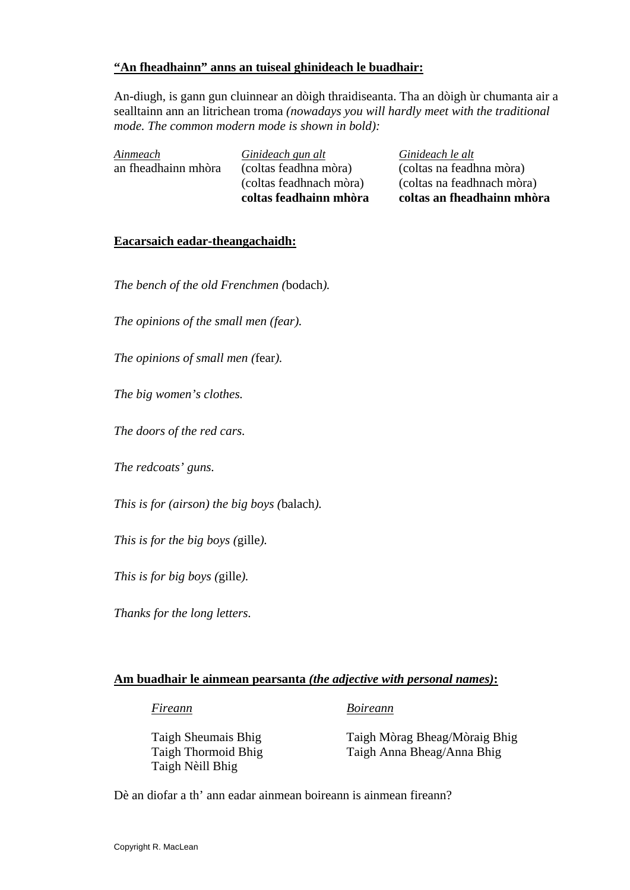#### **"An fheadhainn" anns an tuiseal ghinideach le buadhair:**

An-diugh, is gann gun cluinnear an dòigh thraidiseanta. Tha an dòigh ùr chumanta air a sealltainn ann an litrichean troma *(nowadays you will hardly meet with the traditional mode. The common modern mode is shown in bold):* 

|                     | (coltas feadhnach mòra)<br>coltas feadhainn mhòra | (coltas na feadhnach mòra)<br>coltas an fheadhainn mhòra |
|---------------------|---------------------------------------------------|----------------------------------------------------------|
| Ainmeach            | Ginideach gun alt                                 | Ginideach le alt                                         |
| an fheadhainn mhòra | (coltas feadhna mòra)                             | (coltas na feadhna mòra)                                 |

#### **Eacarsaich eadar-theangachaidh:**

*The bench of the old Frenchmen (*bodach*).* 

*The opinions of the small men (fear).* 

*The opinions of small men (*fear*).* 

*The big women's clothes.* 

*The doors of the red cars.* 

*The redcoats' guns.* 

*This is for (airson) the big boys (*balach*).* 

*This is for the big boys (*gille*).* 

*This is for big boys (*gille*).* 

*Thanks for the long letters.* 

#### **Am buadhair le ainmean pearsanta** *(the adjective with personal names)***:**

*Fireann Boireann*

Taigh Nèill Bhig

 Taigh Sheumais Bhig Taigh Mòrag Bheag/Mòraig Bhig Taigh Thormoid Bhig Taigh Anna Bheag/Anna Bhig

Dè an diofar a th' ann eadar ainmean boireann is ainmean fireann?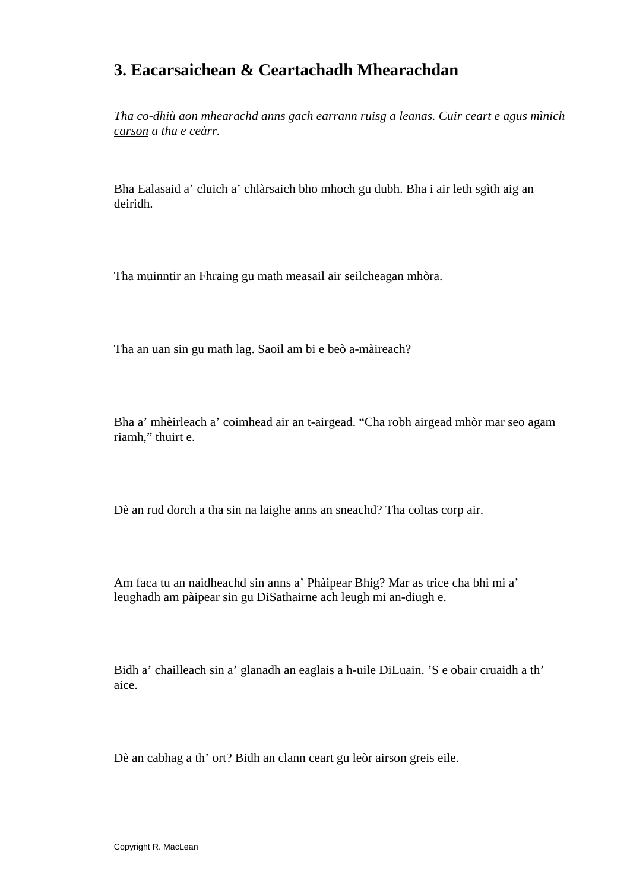# **3. Eacarsaichean & Ceartachadh Mhearachdan**

*Tha co-dhiù aon mhearachd anns gach earrann ruisg a leanas. Cuir ceart e agus mìnich carson a tha e ceàrr.* 

Bha Ealasaid a' cluich a' chlàrsaich bho mhoch gu dubh. Bha i air leth sgìth aig an deiridh.

Tha muinntir an Fhraing gu math measail air seilcheagan mhòra.

Tha an uan sin gu math lag. Saoil am bi e beò a-màireach?

Bha a' mhèirleach a' coimhead air an t-airgead. "Cha robh airgead mhòr mar seo agam riamh," thuirt e.

Dè an rud dorch a tha sin na laighe anns an sneachd? Tha coltas corp air.

Am faca tu an naidheachd sin anns a' Phàipear Bhig? Mar as trice cha bhi mi a' leughadh am pàipear sin gu DiSathairne ach leugh mi an-diugh e.

Bidh a' chailleach sin a' glanadh an eaglais a h-uile DiLuain. 'S e obair cruaidh a th' aice.

Dè an cabhag a th' ort? Bidh an clann ceart gu leòr airson greis eile.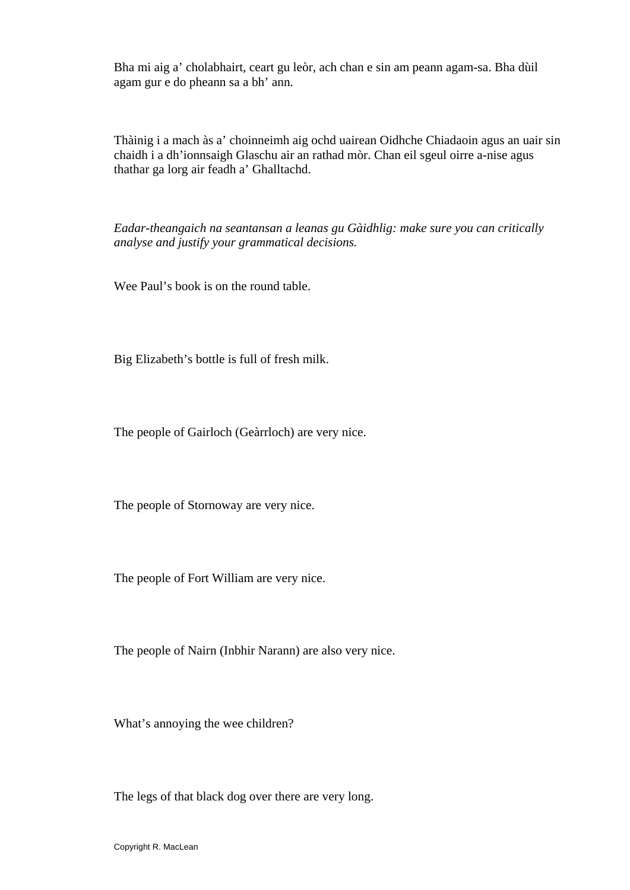Bha mi aig a' cholabhairt, ceart gu leòr, ach chan e sin am peann agam-sa. Bha dùil agam gur e do pheann sa a bh' ann.

Thàinig i a mach às a' choinneimh aig ochd uairean Oidhche Chiadaoin agus an uair sin chaidh i a dh'ionnsaigh Glaschu air an rathad mòr. Chan eil sgeul oirre a-nise agus thathar ga lorg air feadh a' Ghalltachd.

*Eadar-theangaich na seantansan a leanas gu Gàidhlig: make sure you can critically analyse and justify your grammatical decisions.* 

Wee Paul's book is on the round table.

Big Elizabeth's bottle is full of fresh milk.

The people of Gairloch (Geàrrloch) are very nice.

The people of Stornoway are very nice.

The people of Fort William are very nice.

The people of Nairn (Inbhir Narann) are also very nice.

What's annoying the wee children?

The legs of that black dog over there are very long.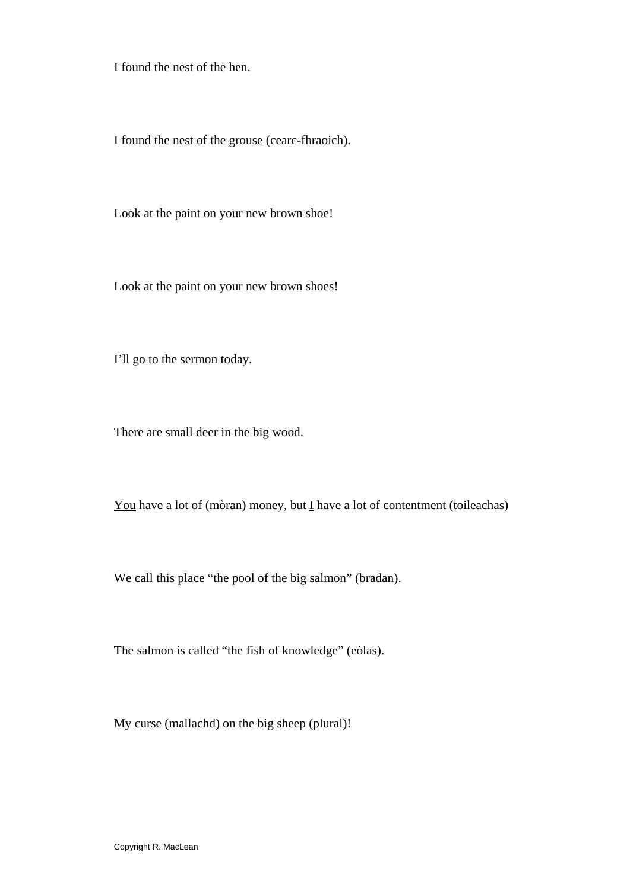I found the nest of the hen.

I found the nest of the grouse (cearc-fhraoich).

Look at the paint on your new brown shoe!

Look at the paint on your new brown shoes!

I'll go to the sermon today.

There are small deer in the big wood.

You have a lot of (mòran) money, but  $\underline{I}$  have a lot of contentment (toileachas)

We call this place "the pool of the big salmon" (bradan).

The salmon is called "the fish of knowledge" (eòlas).

My curse (mallachd) on the big sheep (plural)!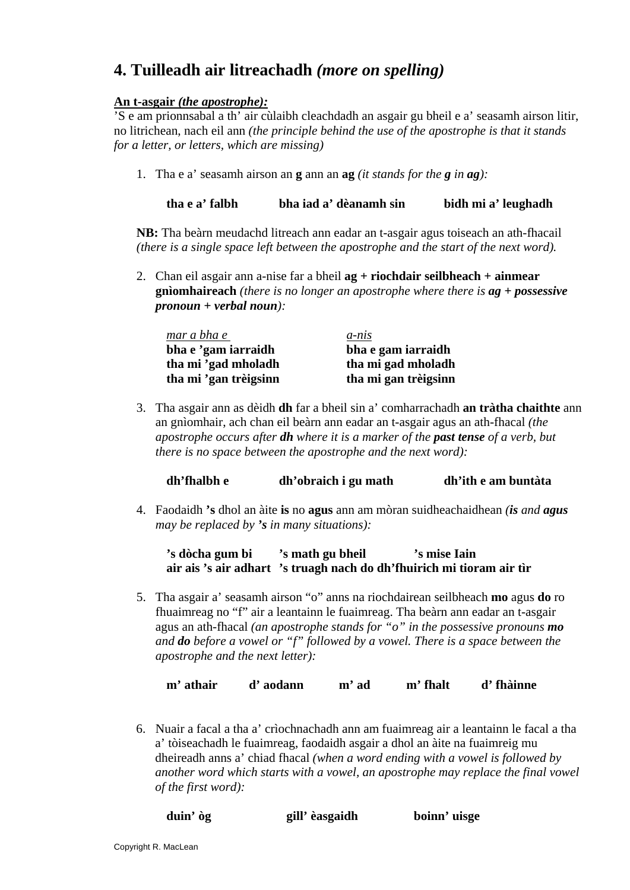# **4. Tuilleadh air litreachadh** *(more on spelling)*

#### **An t-asgair** *(the apostrophe):*

'S e am prionnsabal a th' air cùlaibh cleachdadh an asgair gu bheil e a' seasamh airson litir, no litrichean, nach eil ann *(the principle behind the use of the apostrophe is that it stands for a letter, or letters, which are missing)* 

1. Tha e a' seasamh airson an **g** ann an **ag** *(it stands for the g in ag):* 

**tha e a' falbh bha iad a' dèanamh sin bidh mi a' leughadh** 

**NB:** Tha beàrn meudachd litreach ann eadar an t-asgair agus toiseach an ath-fhacail *(there is a single space left between the apostrophe and the start of the next word).* 

2. Chan eil asgair ann a-nise far a bheil **ag + riochdair seilbheach + ainmear gnìomhaireach** *(there is no longer an apostrophe where there is ag + possessive pronoun + verbal noun):* 

| mar a bha e           | $a$ - $n$ is         |
|-----------------------|----------------------|
| bha e 'gam iarraidh   | bha e gam iarraidh   |
| tha mi 'gad mholadh   | tha mi gad mholadh   |
| tha mi 'gan trèigsinn | tha mi gan trèigsinn |

3. Tha asgair ann as dèidh **dh** far a bheil sin a' comharrachadh **an tràtha chaithte** ann an gnìomhair, ach chan eil beàrn ann eadar an t-asgair agus an ath-fhacal *(the apostrophe occurs after dh where it is a marker of the past tense of a verb, but there is no space between the apostrophe and the next word):*

| dh'fhalbh e | dh'obraich i gu math | dh'ith e am buntàta |
|-------------|----------------------|---------------------|
|             |                      |                     |

4. Faodaidh **'s** dhol an àite **is** no **agus** ann am mòran suidheachaidhean *(is and agus may be replaced by 's in many situations):*

**'s dòcha gum bi 's math gu bheil 's mise Iain air ais 's air adhart 's truagh nach do dh'fhuirich mi tioram air tìr** 

5. Tha asgair a' seasamh airson "o" anns na riochdairean seilbheach **mo** agus **do** ro fhuaimreag no "f" air a leantainn le fuaimreag. Tha beàrn ann eadar an t-asgair agus an ath-fhacal *(an apostrophe stands for "o" in the possessive pronouns mo and do before a vowel or "f" followed by a vowel. There is a space between the apostrophe and the next letter):*

**m' athair d' aodann m' ad m' fhalt d' fhàinne** 

6. Nuair a facal a tha a' crìochnachadh ann am fuaimreag air a leantainn le facal a tha a' tòiseachadh le fuaimreag, faodaidh asgair a dhol an àite na fuaimreig mu dheireadh anns a' chiad fhacal *(when a word ending with a vowel is followed by*  another word which starts with a vowel, an apostrophe may replace the final vowel *of the first word):*

|  | duin' òg | gill' èasgaidh | boinn' uisge |
|--|----------|----------------|--------------|
|--|----------|----------------|--------------|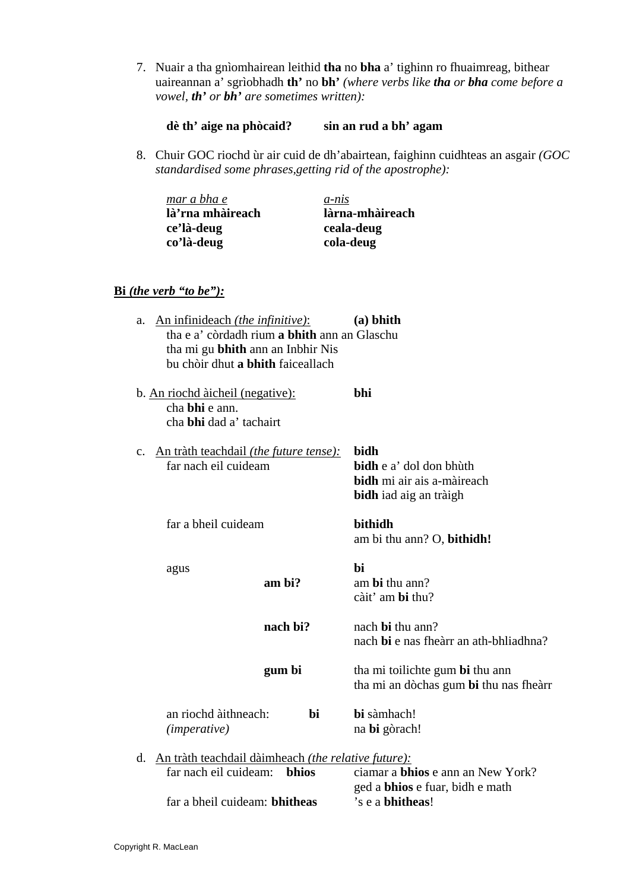- 7. Nuair a tha gnìomhairean leithid **tha** no **bha** a' tighinn ro fhuaimreag, bithear uaireannan a' sgrìobhadh **th'** no **bh'** *(where verbs like tha or bha come before a vowel, th' or bh' are sometimes written):*
	- **dè th' aige na phòcaid? sin an rud a bh' agam**
- 8. Chuir GOC riochd ùr air cuid de dh'abairtean, faighinn cuidhteas an asgair *(GOC standardised some phrases,getting rid of the apostrophe):*

| mar a bha e      | $a$ -nis        |
|------------------|-----------------|
| là'rna mhàireach | làrna-mhàireach |
| ce'là-deug       | ceala-deug      |
| co'là-deug       | cola-deug       |

#### **Bi** *(the verb "to be"):*

| $(a)$ bhith<br>tha e a' còrdadh rium a bhith ann an Glaschu                                             |
|---------------------------------------------------------------------------------------------------------|
|                                                                                                         |
|                                                                                                         |
| bhi                                                                                                     |
|                                                                                                         |
|                                                                                                         |
| bidh                                                                                                    |
| bidh e a' dol don bhùth                                                                                 |
| bidh mi air ais a-màireach                                                                              |
| bidh iad aig an tràigh                                                                                  |
| <b>bithidh</b>                                                                                          |
| am bi thu ann? O, bithidh!                                                                              |
| bi                                                                                                      |
| am bi thu ann?                                                                                          |
| càit' am bi thu?                                                                                        |
| nach <b>bi</b> thu ann?                                                                                 |
| nach bi e nas fheàrr an ath-bhliadhna?                                                                  |
| tha mi toilichte gum bi thu ann                                                                         |
| tha mi an dòchas gum bi thu nas fheàrr                                                                  |
| bi sàmhach!                                                                                             |
| na bi gòrach!                                                                                           |
|                                                                                                         |
| An tràth teachdail dàimheach <i>(the relative future)</i> :<br>ciamar a <b>bhios</b> e ann an New York? |
| ged a <b>bhios</b> e fuar, bidh e math                                                                  |
| 's e a bhitheas!                                                                                        |
|                                                                                                         |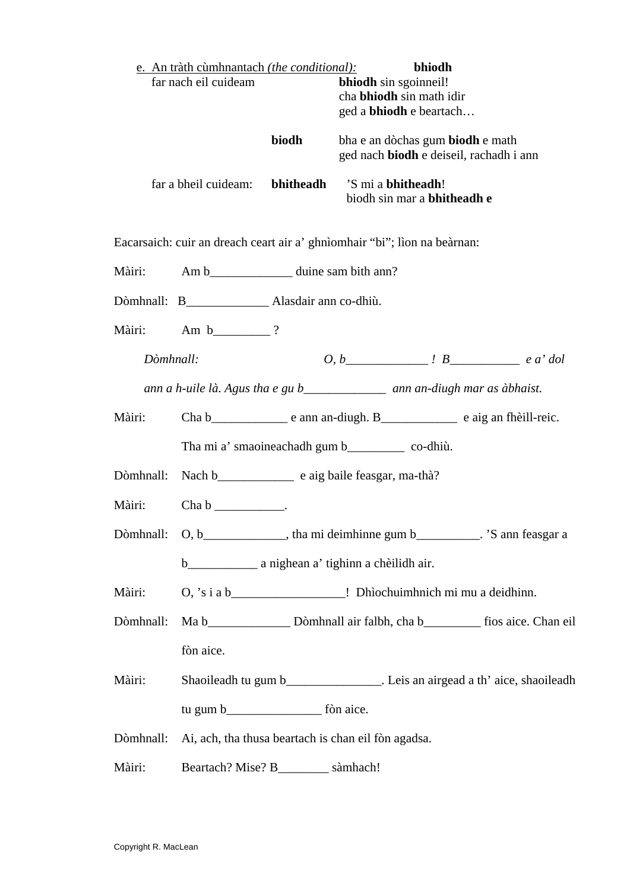|                      | e. An tràth cùmhnantach <i>(the conditional)</i> :  |       | bhiodh                                                                                                                                                                                                                                                                                                                                       |  |
|----------------------|-----------------------------------------------------|-------|----------------------------------------------------------------------------------------------------------------------------------------------------------------------------------------------------------------------------------------------------------------------------------------------------------------------------------------------|--|
| far nach eil cuideam |                                                     |       | bhiodh sin sgoinneil!<br>cha <b>bhiodh</b> sin math idir                                                                                                                                                                                                                                                                                     |  |
|                      |                                                     |       | ged a <b>bhiodh</b> e beartach                                                                                                                                                                                                                                                                                                               |  |
|                      |                                                     | biodh | bha e an dòchas gum biodh e math<br>ged nach biodh e deiseil, rachadh i ann                                                                                                                                                                                                                                                                  |  |
|                      | far a bheil cuideam:                                |       | bhitheadh 'S mi a bhitheadh!<br>biodh sin mar a <b>bhitheadh e</b>                                                                                                                                                                                                                                                                           |  |
|                      |                                                     |       | Eacarsaich: cuir an dreach ceart air a' ghnìomhair "bi"; lìon na beàrnan:                                                                                                                                                                                                                                                                    |  |
| Màiri:               | Am b____________________ duine sam bith ann?        |       |                                                                                                                                                                                                                                                                                                                                              |  |
|                      | Dòmhnall: B__________________ Alasdair ann co-dhiù. |       |                                                                                                                                                                                                                                                                                                                                              |  |
| Màiri:               | Am $b$ ?                                            |       |                                                                                                                                                                                                                                                                                                                                              |  |
| Dòmhnall:            |                                                     |       | $0, b$ $\qquad \qquad$ $\qquad$ $\qquad$ $\qquad$ $\qquad$ $\qquad$ $\qquad$ $\qquad$ $\qquad$ $\qquad$ $\qquad$ $\qquad$ $\qquad$ $\qquad$ $\qquad$ $\qquad$ $\qquad$ $\qquad$ $\qquad$ $\qquad$ $\qquad$ $\qquad$ $\qquad$ $\qquad$ $\qquad$ $\qquad$ $\qquad$ $\qquad$ $\qquad$ $\qquad$ $\qquad$ $\qquad$ $\qquad$ $\qquad$ $\qquad$ $\$ |  |
|                      |                                                     |       | ann a h-uile là. Agus tha e gu b_______________ ann an-diugh mar as àbhaist.                                                                                                                                                                                                                                                                 |  |
| Màiri:               |                                                     |       |                                                                                                                                                                                                                                                                                                                                              |  |
|                      |                                                     |       | Tha mi a' smaoineachadh gum b________________ co-dhiù.                                                                                                                                                                                                                                                                                       |  |
| Dòmhnall:            |                                                     |       |                                                                                                                                                                                                                                                                                                                                              |  |
| Màiri:               | $Chab$ $\qquad \qquad$                              |       |                                                                                                                                                                                                                                                                                                                                              |  |
|                      |                                                     |       | Dòmhnall: O, b______________, tha mi deimhinne gum b__________. 'S ann feasgar a                                                                                                                                                                                                                                                             |  |
|                      |                                                     |       |                                                                                                                                                                                                                                                                                                                                              |  |
|                      |                                                     |       | Màiri: O, 's i a b____________________! Dhìochuimhnich mi mu a deidhinn.                                                                                                                                                                                                                                                                     |  |
| Dòmhnall:            |                                                     |       |                                                                                                                                                                                                                                                                                                                                              |  |
|                      | fòn aice.                                           |       |                                                                                                                                                                                                                                                                                                                                              |  |
| Màiri:               |                                                     |       | Shaoileadh tu gum b____________________. Leis an airgead a th' aice, shaoileadh                                                                                                                                                                                                                                                              |  |
|                      |                                                     |       |                                                                                                                                                                                                                                                                                                                                              |  |
|                      |                                                     |       | Dòmhnall: Ai, ach, tha thusa beartach is chan eil fòn agadsa.                                                                                                                                                                                                                                                                                |  |
| Màiri:               | Beartach? Mise? B___________ sàmhach!               |       |                                                                                                                                                                                                                                                                                                                                              |  |
|                      |                                                     |       |                                                                                                                                                                                                                                                                                                                                              |  |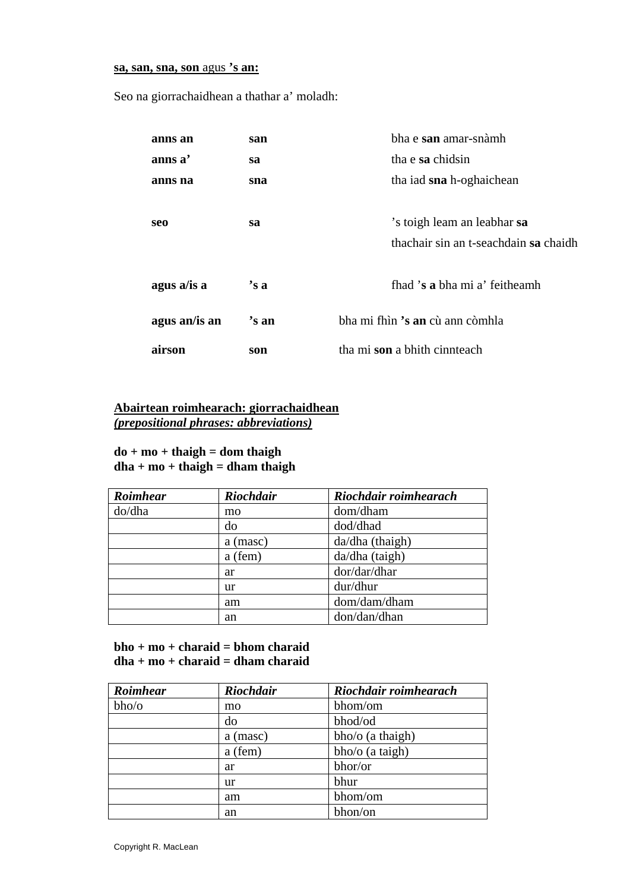#### **sa, san, sna, son** agus **'s an:**

Seo na giorrachaidhean a thathar a' moladh:

| anns an       | san   | bha e san amar-snàmh                                                 |  |
|---------------|-------|----------------------------------------------------------------------|--|
| anns a'       | sa    | tha e sa chidsin                                                     |  |
| anns na       | sna   | tha iad sna h-oghaichean                                             |  |
| seo           | sa    | 's toigh leam an leabhar sa<br>thachair sin an t-seachdain sa chaidh |  |
| agus a/is a   | 's a  | fhad 's a bha mi a' feitheamh                                        |  |
| agus an/is an | 's an | bha mi fhìn 's an cù ann còmhla                                      |  |
| airson        | son   | tha mi son a bhith cinnteach                                         |  |

### **Abairtean roimhearach: giorrachaidhean** *(prepositional phrases: abbreviations)*

#### **do + mo + thaigh = dom thaigh dha + mo + thaigh = dham thaigh**

| Roimhear | <b>Riochdair</b> | Riochdair roimhearach |  |
|----------|------------------|-----------------------|--|
| do/dha   | mo               | dom/dham              |  |
|          | do               | dod/dhad              |  |
|          | a (masc)         | $da/dha$ (thaigh)     |  |
|          | a (fem)          | da/dha (taigh)        |  |
|          | ar               | dor/dar/dhar          |  |
|          | ur               | dur/dhur              |  |
|          | am               | dom/dam/dham          |  |
|          | an               | don/dan/dhan          |  |

#### **bho + mo + charaid = bhom charaid dha + mo + charaid = dham charaid**

| Roimhear | <b>Riochdair</b> | Riochdair roimhearach |
|----------|------------------|-----------------------|
| bho/o    | mo               | bhom/om               |
|          | do               | bhod/od               |
|          | a (masc)         | bho/o (a thaigh)      |
|          | a (fem)          | bho/o (a taigh)       |
|          | ar               | bhor/or               |
|          | ur               | bhur                  |
|          | am               | bhom/om               |
|          | an               | bhon/on               |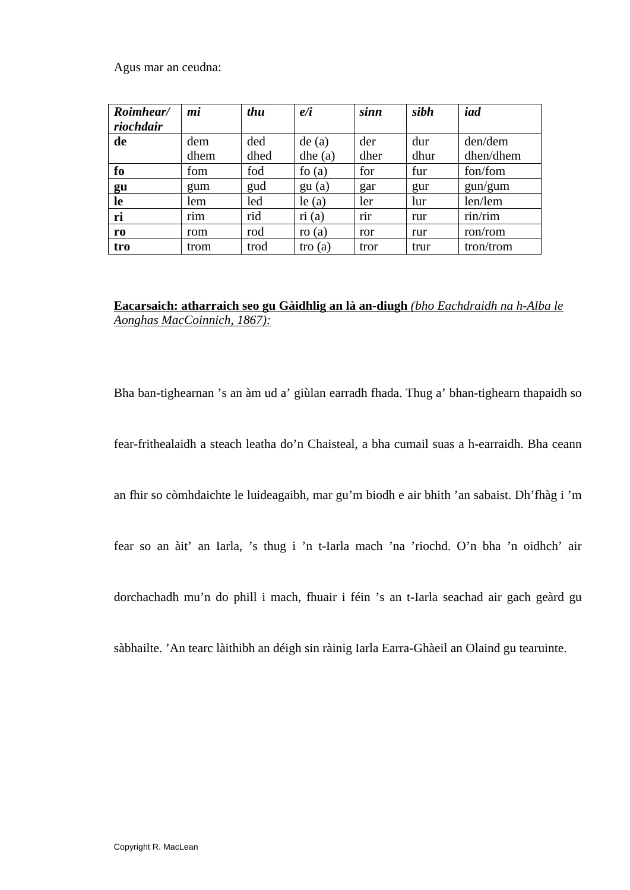Agus mar an ceudna:

| Roimhear/      | mi   | thu  | e/i      | sinn | sibh | iad       |
|----------------|------|------|----------|------|------|-----------|
| riochdair      |      |      |          |      |      |           |
| de             | dem  | ded  | de(a)    | der  | dur  | den/dem   |
|                | dhem | dhed | dhe(a)   | dher | dhur | dhen/dhem |
| fo             | fom  | fod  | fo $(a)$ | for  | fur  | fon/fom   |
| gu             | gum  | gud  | gu(a)    | gar  | gur  | gun/gum   |
| le             | lem  | led  | $le$ (a) | ler  | lur  | len/lem   |
| ri             | rim  | rid  | ri(a)    | rir  | rur  | rin/rim   |
| r <sub>0</sub> | rom  | rod  | ro $(a)$ | ror  | rur  | ron/rom   |
| tro            | trom | trod | tro(a)   | tror | trur | tron/trom |

#### **Eacarsaich: atharraich seo gu Gàidhlig an là an-diugh** *(bho Eachdraidh na h-Alba le Aonghas MacCoinnich, 1867):*

Bha ban-tighearnan 's an àm ud a' giùlan earradh fhada. Thug a' bhan-tighearn thapaidh so

fear-frithealaidh a steach leatha do'n Chaisteal, a bha cumail suas a h-earraidh. Bha ceann

an fhir so còmhdaichte le luideagaibh, mar gu'm biodh e air bhith 'an sabaist. Dh'fhàg i 'm

fear so an àit' an Iarla, 's thug i 'n t-Iarla mach 'na 'riochd. O'n bha 'n oidhch' air

dorchachadh mu'n do phill i mach, fhuair i féin 's an t-Iarla seachad air gach geàrd gu

sàbhailte. 'An tearc làithibh an déigh sin ràinig Iarla Earra-Ghàeil an Olaind gu tearuinte.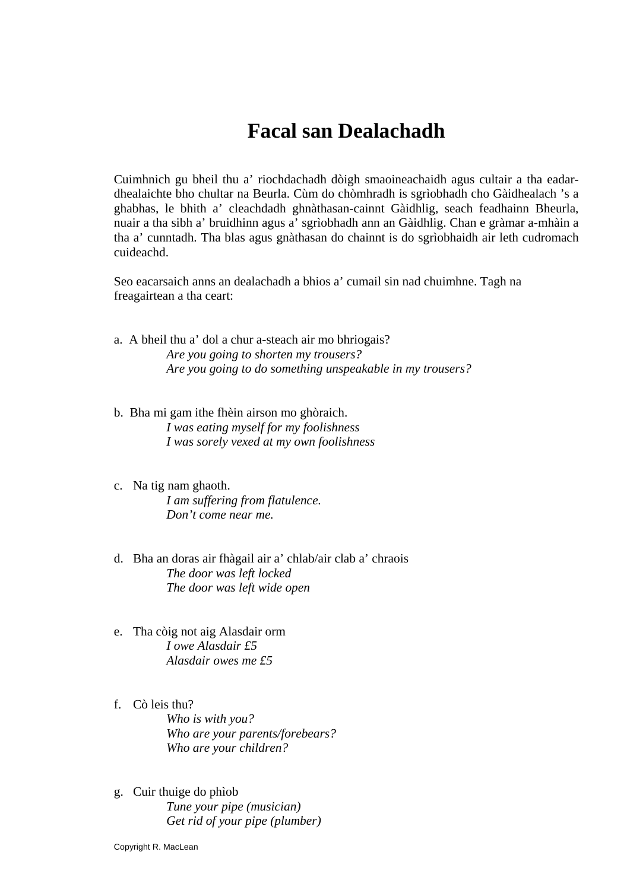# **Facal san Dealachadh**

Cuimhnich gu bheil thu a' riochdachadh dòigh smaoineachaidh agus cultair a tha eadardhealaichte bho chultar na Beurla. Cùm do chòmhradh is sgrìobhadh cho Gàidhealach 's a ghabhas, le bhith a' cleachdadh ghnàthasan-cainnt Gàidhlig, seach feadhainn Bheurla, nuair a tha sibh a' bruidhinn agus a' sgrìobhadh ann an Gàidhlig. Chan e gràmar a-mhàin a tha a' cunntadh. Tha blas agus gnàthasan do chainnt is do sgrìobhaidh air leth cudromach cuideachd.

Seo eacarsaich anns an dealachadh a bhios a' cumail sin nad chuimhne. Tagh na freagairtean a tha ceart:

- a. A bheil thu a' dol a chur a-steach air mo bhriogais? *Are you going to shorten my trousers? Are you going to do something unspeakable in my trousers?*
- b. Bha mi gam ithe fhèin airson mo ghòraich. *I was eating myself for my foolishness I was sorely vexed at my own foolishness*
- c. Na tig nam ghaoth. *I am suffering from flatulence. Don't come near me.*
- d. Bha an doras air fhàgail air a' chlab/air clab a' chraois *The door was left locked The door was left wide open*
- e. Tha còig not aig Alasdair orm *I owe Alasdair £5 Alasdair owes me £5*
- f. Cò leis thu? *Who is with you? Who are your parents/forebears? Who are your children?*
- g. Cuir thuige do phìob *Tune your pipe (musician) Get rid of your pipe (plumber)*